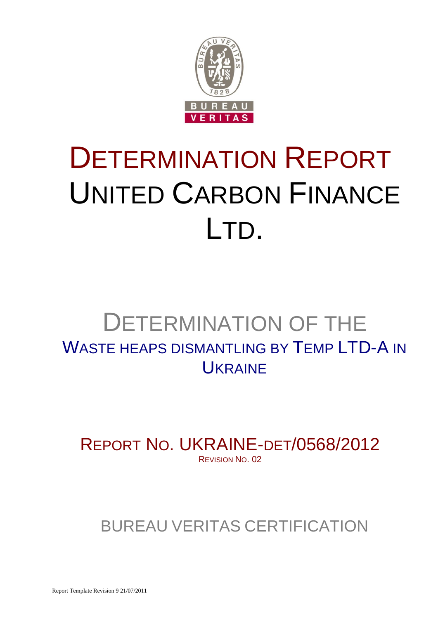

# DETERMINATION REPORT UNITED CARBON FINANCE LTD.

# DETERMINATION OF THE WASTE HEAPS DISMANTLING BY TEMP LTD-A IN **UKRAINE**

REPORT NO. UKRAINE-DET/0568/2012 REVISION NO. 02

BUREAU VERITAS CERTIFICATION

Report Template Revision 9 21/07/2011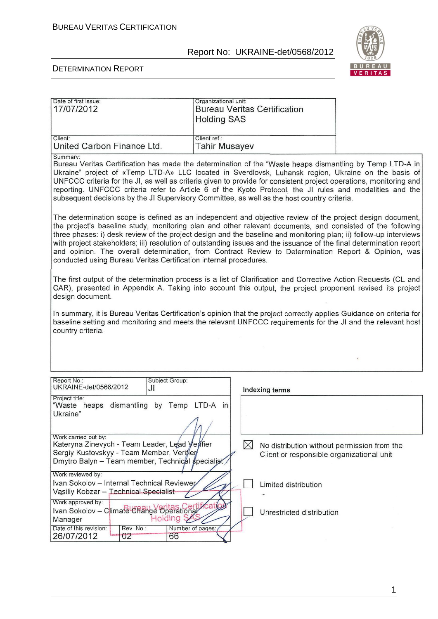

Ī

#### DETERMINATION REPORT

| 17/07/2012                                                                                                                                                                                                                                                                        |                      | <b>Bureau Veritas Certification</b><br><b>Holding SAS</b>                                                                                                                                                                                                                                                                                                                                                                                                                                                                                                                  |  |  |
|-----------------------------------------------------------------------------------------------------------------------------------------------------------------------------------------------------------------------------------------------------------------------------------|----------------------|----------------------------------------------------------------------------------------------------------------------------------------------------------------------------------------------------------------------------------------------------------------------------------------------------------------------------------------------------------------------------------------------------------------------------------------------------------------------------------------------------------------------------------------------------------------------------|--|--|
| Client:<br>United Carbon Finance Ltd.                                                                                                                                                                                                                                             | Client ref.:         | <b>Tahir Musayev</b>                                                                                                                                                                                                                                                                                                                                                                                                                                                                                                                                                       |  |  |
| Summary:                                                                                                                                                                                                                                                                          |                      | Bureau Veritas Certification has made the determination of the "Waste heaps dismantling by Temp LTD-A in<br>Ukraine" project of «Temp LTD-A» LLC located in Sverdlovsk, Luhansk region, Ukraine on the basis of<br>UNFCCC criteria for the JI, as well as criteria given to provide for consistent project operations, monitoring and<br>reporting. UNFCCC criteria refer to Article 6 of the Kyoto Protocol, the JI rules and modalities and the<br>subsequent decisions by the JI Supervisory Committee, as well as the host country criteria.                           |  |  |
| conducted using Bureau Veritas Certification internal procedures.                                                                                                                                                                                                                 |                      | The determination scope is defined as an independent and objective review of the project design document,<br>the project's baseline study, monitoring plan and other relevant documents, and consisted of the following<br>three phases: i) desk review of the project design and the baseline and monitoring plan; ii) follow-up interviews<br>with project stakeholders; iii) resolution of outstanding issues and the issuance of the final determination report<br>and opinion. The overall determination, from Contract Review to Determination Report & Opinion, was |  |  |
| design document.                                                                                                                                                                                                                                                                  |                      | The first output of the determination process is a list of Clarification and Corrective Action Requests (CL and<br>CAR), presented in Appendix A. Taking into account this output, the project proponent revised its project                                                                                                                                                                                                                                                                                                                                               |  |  |
| country criteria.                                                                                                                                                                                                                                                                 |                      | In summary, it is Bureau Veritas Certification's opinion that the project correctly applies Guidance on criteria for<br>baseline setting and monitoring and meets the relevant UNFCCC requirements for the JI and the relevant host                                                                                                                                                                                                                                                                                                                                        |  |  |
|                                                                                                                                                                                                                                                                                   |                      |                                                                                                                                                                                                                                                                                                                                                                                                                                                                                                                                                                            |  |  |
| Report No.:<br>UKRAINE-det/0568/2012                                                                                                                                                                                                                                              | Subject Group:<br>JI | Indexing terms                                                                                                                                                                                                                                                                                                                                                                                                                                                                                                                                                             |  |  |
| Project title:<br>"Waste heaps dismantling by Temp LTD-A in<br>Ukraine"                                                                                                                                                                                                           |                      |                                                                                                                                                                                                                                                                                                                                                                                                                                                                                                                                                                            |  |  |
| Work carried out by:<br>Kateryna Zinevych - Team Leader, Lead Verfier<br>$\boxtimes$<br>No distribution without permission from the<br>Sergiy Kustovskyy - Team Member, Verifier<br>Client or responsible organizational unit<br>Dmytro Balyn - Team member, Technical specialist |                      |                                                                                                                                                                                                                                                                                                                                                                                                                                                                                                                                                                            |  |  |
| Work reviewed by:<br>Ivan Sokolov - Internal Technical Reviewer<br>Limited distribution<br>Vąsiliy Kobzar - Technical Specialist                                                                                                                                                  |                      |                                                                                                                                                                                                                                                                                                                                                                                                                                                                                                                                                                            |  |  |
| Work approved by:<br>Ivan Sokolov - Climate URahge Operational<br>Manager                                                                                                                                                                                                         | Holding S            | Unrestricted distribution                                                                                                                                                                                                                                                                                                                                                                                                                                                                                                                                                  |  |  |
| Date of this revision:<br>Rev. No.:<br>26/07/2012<br>02                                                                                                                                                                                                                           | Number of pages:     |                                                                                                                                                                                                                                                                                                                                                                                                                                                                                                                                                                            |  |  |

1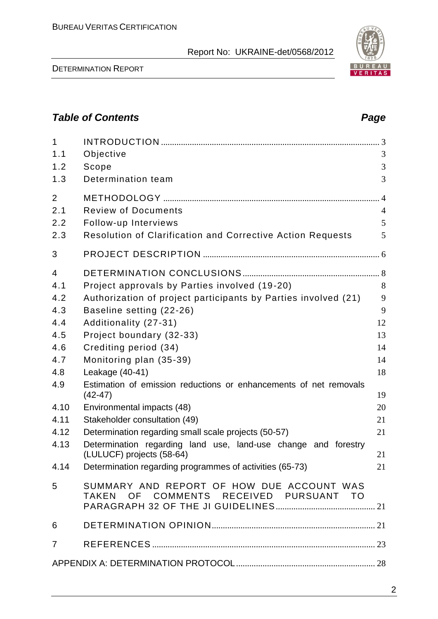# *Table of Contents Page*

| $\mathbf{1}$   |                                                                                     |                |
|----------------|-------------------------------------------------------------------------------------|----------------|
| 1.1            | Objective                                                                           | 3              |
| 1.2            | Scope                                                                               | 3              |
| 1.3            | Determination team                                                                  | 3              |
| $\overline{2}$ |                                                                                     | $\overline{4}$ |
| 2.1            | <b>Review of Documents</b>                                                          | $\overline{4}$ |
| 2.2            | Follow-up Interviews                                                                | 5              |
| 2.3            | <b>Resolution of Clarification and Corrective Action Requests</b>                   | 5              |
| 3              |                                                                                     |                |
| $\overline{4}$ |                                                                                     |                |
| 4.1            | Project approvals by Parties involved (19-20)                                       | 8              |
| 4.2            | Authorization of project participants by Parties involved (21)                      | 9              |
| 4.3            | Baseline setting (22-26)                                                            | 9              |
| 4.4            | Additionality (27-31)                                                               | 12             |
| 4.5            | Project boundary (32-33)                                                            | 13             |
| 4.6            | Crediting period (34)                                                               | 14             |
| 4.7            | Monitoring plan (35-39)                                                             | 14             |
| 4.8            | Leakage (40-41)                                                                     | 18             |
| 4.9            | Estimation of emission reductions or enhancements of net removals<br>$(42-47)$      | 19             |
| 4.10           | Environmental impacts (48)                                                          | 20             |
| 4.11           | Stakeholder consultation (49)                                                       | 21             |
| 4.12           | Determination regarding small scale projects (50-57)                                | 21             |
| 4.13           | Determination regarding land use, land-use change and forestry                      |                |
|                | (LULUCF) projects (58-64)                                                           | 21             |
| 4.14           | Determination regarding programmes of activities (65-73)                            | 21             |
| 5              | SUMMARY AND REPORT OF HOW DUE ACCOUNT WAS<br>TAKEN OF COMMENTS RECEIVED PURSUANT TO |                |
| 6              |                                                                                     |                |
| $\overline{7}$ |                                                                                     |                |
|                |                                                                                     |                |
|                |                                                                                     |                |

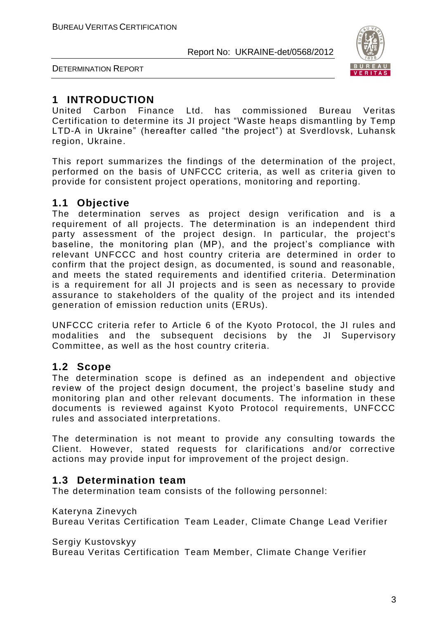

DETERMINATION REPORT

# **1 INTRODUCTION**

United Carbon Finance Ltd. has commissioned Bureau Veritas Certification to determine its JI project "Waste heaps dismantling by Temp LTD-A in Ukraine" (hereafter called "the project") at Sverdlovsk, Luhansk region, Ukraine.

This report summarizes the findings of the determination of the project, performed on the basis of UNFCCC criteria, as well as criteria given to provide for consistent project operations, monitoring and reporting.

# **1.1 Objective**

The determination serves as project design verification and is a requirement of all projects. The determination is an independent third party assessment of the project design. In particular, the project's baseline, the monitoring plan (MP), and the project's compliance with relevant UNFCCC and host country criteria are determined in order to confirm that the project design, as documented, is sound and reasonable, and meets the stated requirements and identified criteria. Determination is a requirement for all JI projects and is seen as necessary to provide assurance to stakeholders of the quality of the project and its intended generation of emission reduction units (ERUs).

UNFCCC criteria refer to Article 6 of the Kyoto Protocol, the JI rules and modalities and the subsequent decisions by the JI Supervisory Committee, as well as the host country criteria.

# **1.2 Scope**

The determination scope is defined as an independent and objective review of the project design document, the project's baseline study and monitoring plan and other relevant documents. The information in these documents is reviewed against Kyoto Protocol requirements, UNFCCC rules and associated interpretations.

The determination is not meant to provide any consulting towards the Client. However, stated requests for clarifications and/or corrective actions may provide input for improvement of the project design.

# **1.3 Determination team**

The determination team consists of the following personnel:

### Kateryna Zinevych

Bureau Veritas Certification Team Leader, Climate Change Lead Verifier

Sergiy Kustovskyy

Bureau Veritas Certification Team Member, Climate Change Verifier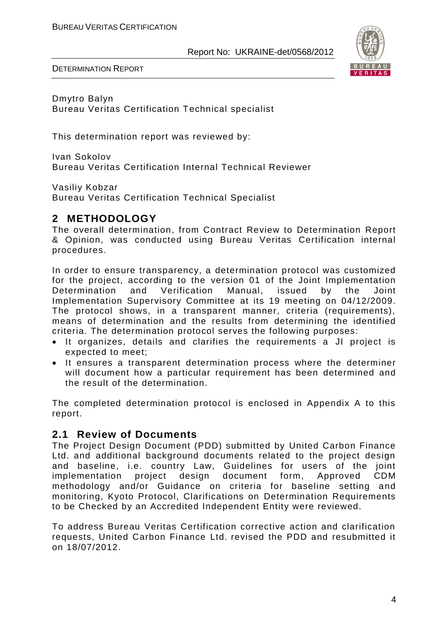

DETERMINATION REPORT

Dmytro Balyn Bureau Veritas Certification Technical specialist

This determination report was reviewed by:

Ivan Sokolov Bureau Veritas Certification Internal Technical Reviewer

Vasiliy Kobzar Bureau Veritas Certification Technical Specialist

# **2 METHODOLOGY**

The overall determination, from Contract Review to Determination Report & Opinion, was conducted using Bureau Veritas Certification internal procedures.

In order to ensure transparency, a determination protocol was customized for the project, according to the version 01 of the Joint Implementation Determination and Verification Manual, issued by the Joint Implementation Supervisory Committee at its 19 meeting on 04/12/2009. The protocol shows, in a transparent manner, criteria (requirements), means of determination and the results from determining the identified criteria. The determination protocol serves the following purposes:

- It organizes, details and clarifies the requirements a JI project is expected to meet;
- It ensures a transparent determination process where the determiner will document how a particular requirement has been determined and the result of the determination.

The completed determination protocol is enclosed in Appendix A to this report.

# **2.1 Review of Documents**

The Project Design Document (PDD) submitted by United Carbon Finance Ltd. and additional background documents related to the project design and baseline, i.e. country Law, Guidelines for users of the joint implementation project design document form, Approved CDM methodology and/or Guidance on criteria for baseline setting and monitoring, Kyoto Protocol, Clarifications on Determination Requirements to be Checked by an Accredited Independent Entity were reviewed.

To address Bureau Veritas Certification corrective action and clarification requests, United Carbon Finance Ltd. revised the PDD and resubmitted it on 18/07/2012.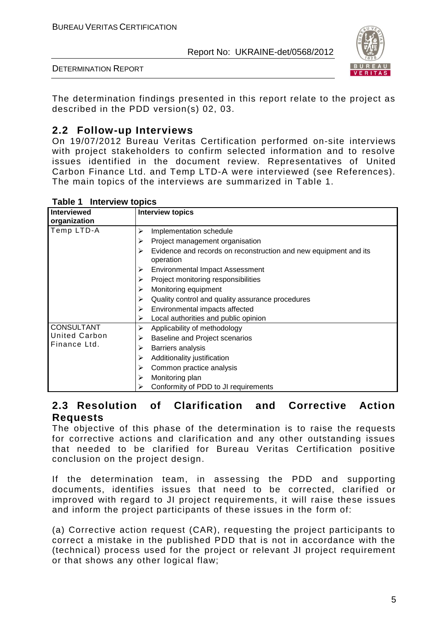

The determination findings presented in this report relate to the project as described in the PDD version(s) 02, 03.

# **2.2 Follow-up Interviews**

On 19/07/2012 Bureau Veritas Certification performed on-site interviews with project stakeholders to confirm selected information and to resolve issues identified in the document review. Representatives of United Carbon Finance Ltd. and Temp LTD-A were interviewed (see References). The main topics of the interviews are summarized in Table 1.

| <b>Interviewed</b><br>organization | <b>Interview topics</b>                                                            |
|------------------------------------|------------------------------------------------------------------------------------|
| Temp LTD-A                         | Implementation schedule<br>⋗                                                       |
|                                    | Project management organisation<br>⋗                                               |
|                                    | Evidence and records on reconstruction and new equipment and its<br>⋗<br>operation |
|                                    | <b>Environmental Impact Assessment</b><br>➤                                        |
|                                    | Project monitoring responsibilities<br>➤                                           |
|                                    | Monitoring equipment<br>➤                                                          |
|                                    | Quality control and quality assurance procedures<br>⋗                              |
|                                    | Environmental impacts affected<br>⋗                                                |
|                                    | Local authorities and public opinion<br>⋗                                          |
| <b>CONSULTANT</b>                  | Applicability of methodology<br>⋗                                                  |
| <b>United Carbon</b>               | <b>Baseline and Project scenarios</b><br>⋗                                         |
| Finance Ltd.                       | Barriers analysis<br>⋗                                                             |
|                                    | Additionality justification<br>⋗                                                   |
|                                    | Common practice analysis<br>⋗                                                      |
|                                    | Monitoring plan<br>⋗                                                               |
|                                    | Conformity of PDD to JI requirements                                               |

### **Table 1 Interview topics**

# **2.3 Resolution of Clarification and Corrective Action Requests**

The objective of this phase of the determination is to raise the requests for corrective actions and clarification and any other outstanding issues that needed to be clarified for Bureau Veritas Certification positive conclusion on the project design.

If the determination team, in assessing the PDD and supporting documents, identifies issues that need to be corrected, clarified or improved with regard to JI project requirements, it will raise these issues and inform the project participants of these issues in the form of:

(a) Corrective action request (CAR), requesting the project participants to correct a mistake in the published PDD that is not in accordance with the (technical) process used for the project or relevant JI project requirement or that shows any other logical flaw;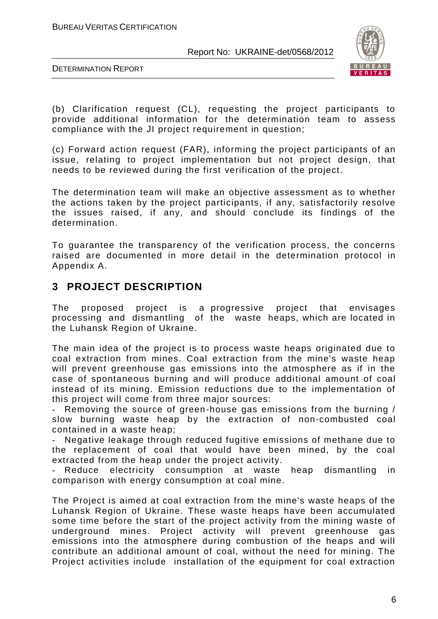

DETERMINATION REPORT

(b) Clarification request (CL), requesting the project participants to provide additional information for the determination team to assess compliance with the JI project requirement in question;

(c) Forward action request (FAR), informing the project participants of an issue, relating to project implementation but not project design, that needs to be reviewed during the first verification of the project.

The determination team will make an objective assessment as to whether the actions taken by the project participants, if any, satisfactorily resolve the issues raised, if any, and should conclude its findings of the determination.

To guarantee the transparency of the verification process, the concerns raised are documented in more detail in the determination protocol in Appendix A.

# **3 PROJECT DESCRIPTION**

The proposed project is a progressive project that envisages processing and dismantling of the waste heaps, which are located in the Luhansk Region of Ukraine.

The main idea of the project is to process waste heaps originated due to coal extraction from mines. Coal extraction from the mine's waste heap will prevent greenhouse gas emissions into the atmosphere as if in the case of spontaneous burning and will produce additional amount of coal instead of its mining. Emission reductions due to the implementation of this project will come from three major sources:

- Removing the source of green-house gas emissions from the burning / slow burning waste heap by the extraction of non-combusted coal contained in a waste heap;

- Negative leakage through reduced fugitive emissions of methane due to the replacement of coal that would have been mined, by the coal extracted from the heap under the project activity.

Reduce electricity consumption at waste heap dismantling in comparison with energy consumption at coal mine.

The Project is aimed at coal extraction from the mine's waste heaps of the Luhansk Region of Ukraine. These waste heaps have been accumulated some time before the start of the project activity from the mining waste of underground mines. Project activity will prevent greenhouse gas emissions into the atmosphere during combustion of the heaps and will contribute an additional amount of coal, without the need for mining. The Project activities include installation of the equipment for coal extraction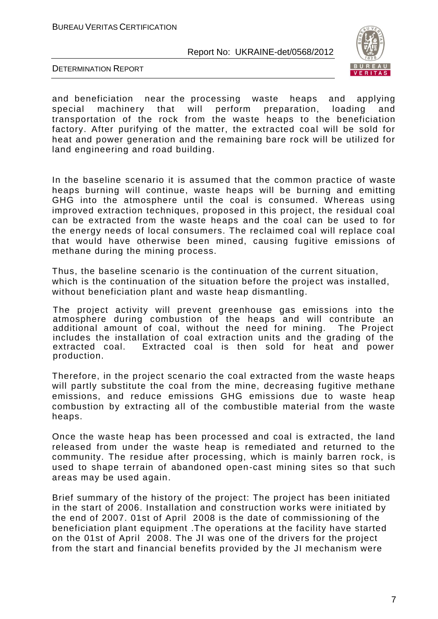

DETERMINATION REPORT

and beneficiation near the processing waste heaps and applying special machinery that will perform preparation, loading and transportation of the rock from the waste heaps to the beneficiation factory. After purifying of the matter, the extracted coal will be sold for heat and power generation and the remaining bare rock will be utilized for land engineering and road building.

In the baseline scenario it is assumed that the common practice of waste heaps burning will continue, waste heaps will be burning and emitting GHG into the atmosphere until the coal is consumed. Whereas using improved extraction techniques, proposed in this project, the residual coal can be extracted from the waste heaps and the coal can be used to for the energy needs of local consumers. The reclaimed coal will replace coal that would have otherwise been mined, causing fugitive emissions of methane during the mining process.

Thus, the baseline scenario is the continuation of the current situation, which is the continuation of the situation before the project was installed, without beneficiation plant and waste heap dismantling.

The project activity will prevent greenhouse gas emissions into the atmosphere during combustion of the heaps and will contribute an additional amount of coal, without the need for mining. The Project includes the installation of coal extraction units and the grading of the extracted coal. Extracted coal is then sold for heat and power production.

Therefore, in the project scenario the coal extracted from the waste heaps will partly substitute the coal from the mine, decreasing fugitive methane emissions, and reduce emissions GHG emissions due to waste heap combustion by extracting all of the combustible material from the waste heaps.

Once the waste heap has been processed and coal is extracted, the land released from under the waste heap is remediated and returned to the community. The residue after processing, which is mainly barren rock, is used to shape terrain of abandoned open-cast mining sites so that such areas may be used again.

Brief summary of the history of the project: The project has been initiated in the start of 2006. Installation and construction works were initiated by the end of 2007. 01st of April 2008 is the date of commissioning of the beneficiation plant equipment .The operations at the facility have started on the 01st of April 2008. The JI was one of the drivers for the project from the start and financial benefits provided by the JI mechanism were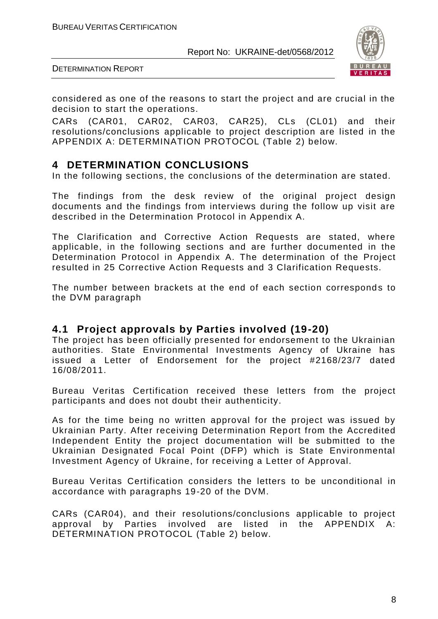

DETERMINATION REPORT

considered as one of the reasons to start the project and are crucial in the decision to start the operations.

CARs (CAR01, CAR02, CAR03, CAR25), CLs (CL01) and their resolutions/conclusions applicable to project description are listed in the APPENDIX A: DETERMINATION PROTOCOL (Table 2) below.

# **4 DETERMINATION CONCLUSIONS**

In the following sections, the conclusions of the determination are stated.

The findings from the desk review of the original project design documents and the findings from interviews during the follow up visit are described in the Determination Protocol in Appendix A.

The Clarification and Corrective Action Requests are stated, where applicable, in the following sections and are further documented in the Determination Protocol in Appendix A. The determination of the Project resulted in 25 Corrective Action Requests and 3 Clarification Requests.

The number between brackets at the end of each section corresponds to the DVM paragraph

# **4.1 Project approvals by Parties involved (19-20)**

The project has been officially presented for endorsement to the Ukrainian authorities. State Environmental Investments Agency of Ukraine has issued a Letter of Endorsement for the project #2168/23/7 dated 16/08/2011.

Bureau Veritas Certification received these letters from the project participants and does not doubt their authenticity.

As for the time being no written approval for the project was issued by Ukrainian Party. After receiving Determination Report from the Accredited Independent Entity the project documentation will be submitted to the Ukrainian Designated Focal Point (DFP) which is State Environmental Investment Agency of Ukraine, for receiving a Letter of Approval.

Bureau Veritas Certification considers the letters to be unconditional in accordance with paragraphs 19-20 of the DVM.

CARs (CAR04), and their resolutions/conclusions applicable to project approval by Parties involved are listed in the APPENDIX A: DETERMINATION PROTOCOL (Table 2) below.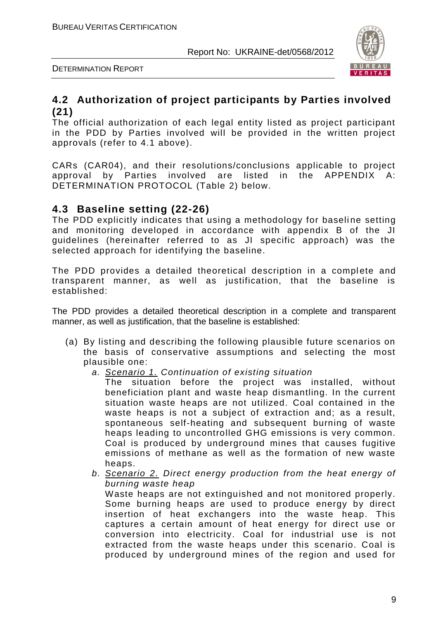

# **4.2 Authorization of project participants by Parties involved (21)**

The official authorization of each legal entity listed as project participant in the PDD by Parties involved will be provided in the written project approvals (refer to 4.1 above).

CARs (CAR04), and their resolutions/conclusions applicable to project approval by Parties involved are listed in the APPENDIX A: DETERMINATION PROTOCOL (Table 2) below.

# **4.3 Baseline setting (22-26)**

The PDD explicitly indicates that using a methodology for baseline setting and monitoring developed in accordance with appendix B of the JI guidelines (hereinafter referred to as JI specific approach) was the selected approach for identifying the baseline.

The PDD provides a detailed theoretical description in a complete and transparent manner, as well as justification, that the baseline is established:

The PDD provides a detailed theoretical description in a complete and transparent manner, as well as justification, that the baseline is established:

- (a) By listing and describing the following plausible future scenarios on the basis of conservative assumptions and selecting the most plausible one:
	- *a. Scenario 1. Continuation of existing situation*

The situation before the project was installed, without beneficiation plant and waste heap dismantling. In the current situation waste heaps are not utilized. Coal contained in the waste heaps is not a subject of extraction and; as a result, spontaneous self-heating and subsequent burning of waste heaps leading to uncontrolled GHG emissions is very common. Coal is produced by underground mines that causes fugitive emissions of methane as well as the formation of new waste heaps.

*b. Scenario 2. Direct energy production from the heat energy of burning waste heap*

Waste heaps are not extinguished and not monitored properly. Some burning heaps are used to produce energy by direct insertion of heat exchangers into the waste heap. This captures a certain amount of heat energy for direct use or conversion into electricity. Coal for industrial use is not extracted from the waste heaps under this scenario. Coal is produced by underground mines of the region and used for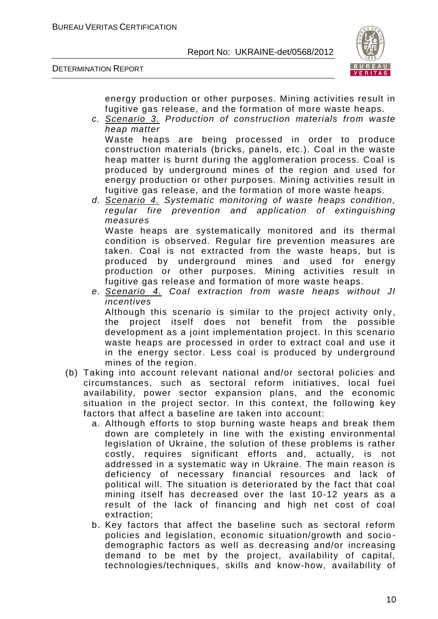DETERMINATION REPORT



energy production or other purposes. Mining activities result in fugitive gas release, and the formation of more waste heaps.

*c. Scenario 3. Production of construction materials from waste heap matter*

Waste heaps are being processed in order to produce construction materials (bricks, panels, etc.). Coal in the waste heap matter is burnt during the agglomeration process. Coal is produced by underground mines of the region and used for energy production or other purposes. Mining activities result in fugitive gas release, and the formation of more waste heaps.

- *d. Scenario 4. Systematic monitoring of waste heaps condition, regular fire prevention and application of extinguishing measures* Waste heaps are systematically monitored and its thermal condition is observed. Regular fire prevention measures are taken. Coal is not extracted from the waste heaps, but is produced by underground mines and used for energy production or other purposes. Mining activities result in fugitive gas release and formation of more waste heaps.
- *e. Scenario 4. Coal extraction from waste heaps without JI incentives* Although this scenario is similar to the project activity only, the project itself does not benefit from the possible development as a joint implementation project. In this scenario waste heaps are processed in order to extract coal and use it in the energy sector. Less coal is produced by underground mines of the region.
- (b) Taking into account relevant national and/or sectoral policies and circumstances, such as sectoral reform initiatives, local fuel availability, power sector expansion plans, and the economic situation in the project sector. In this context, the follo wing key factors that affect a baseline are taken into account:
	- a. Although efforts to stop burning waste heaps and break them down are completely in line with the existing environmental legislation of Ukraine, the solution of these problems is rather costly, requires significant efforts and, actually, is not addressed in a systematic way in Ukraine. The main reason is deficiency of necessary financial resources and lack of political will. The situation is deteriorated by the fact that coal mining itself has decreased over the last 10-12 years as a result of the lack of financing and high net cost of coal extraction;
	- b. Key factors that affect the baseline such as sectoral reform policies and legislation, economic situation/growth and socio demographic factors as well as decreasing and/or increasing demand to be met by the project, availability of capital, technologies/techniques, skills and know-how, availability of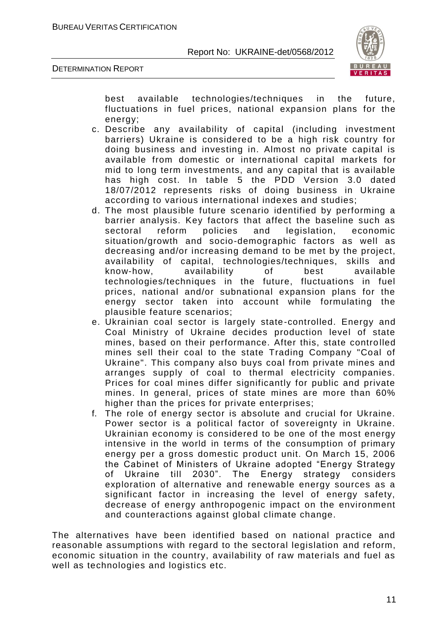



best available technologies/techniques in the future, fluctuations in fuel prices, national expansion plans for the energy;

- c. Describe any availability of capital (including investment barriers) Ukraine is considered to be a high risk country for doing business and investing in. Almost no private capital is available from domestic or international capital markets for mid to long term investments, and any capital that is available has high cost. In table 5 the PDD Version 3.0 dated 18/07/2012 represents risks of doing business in Ukraine according to various international indexes and studies;
- d. The most plausible future scenario identified by performing a barrier analysis. Key factors that affect the baseline such as sectoral reform policies and legislation, economic situation/growth and socio-demographic factors as well as decreasing and/or increasing demand to be met by the project, availability of capital, technologies/techniques, skills and know-how, availability of best available technologies/techniques in the future, fluctuations in fuel prices, national and/or subnational expansion plans for the energy sector taken into account while formulating the plausible feature scenarios;
- e. Ukrainian coal sector is largely state-controlled. Energy and Coal Ministry of Ukraine decides production level of state mines, based on their performance. After this, state controlled mines sell their coal to the state Trading Company "Coal of Ukraine". This company also buys coal from private mines and arranges supply of coal to thermal electricity companies. Prices for coal mines differ significantly for public and private mines. In general, prices of state mines are more than 60% higher than the prices for private enterprises;
- f. The role of energy sector is absolute and crucial for Ukraine. Power sector is a political factor of sovereignty in Ukraine. Ukrainian economy is considered to be one of the most energy intensive in the world in terms of the consumption of primary energy per a gross domestic product unit. On March 15, 2006 the Cabinet of Ministers of Ukraine adopted "Energy Strategy of Ukraine till 2030". The Energy strategy considers exploration of alternative and renewable energy sources as a significant factor in increasing the level of energy safety, decrease of energy anthropogenic impact on the environment and counteractions against global climate change.

The alternatives have been identified based on national practice and reasonable assumptions with regard to the sectoral legislation and reform, economic situation in the country, availability of raw materials and fuel as well as technologies and logistics etc.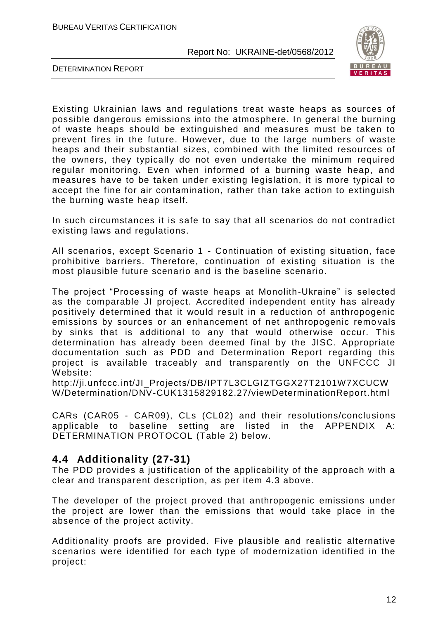

DETERMINATION REPORT

Existing Ukrainian laws and regulations treat waste heaps as sources of possible dangerous emissions into the atmosphere. In general the burning of waste heaps should be extinguished and measures must be taken to prevent fires in the future. However, due to the large numbers of waste heaps and their substantial sizes, combined with the limited resources of the owners, they typically do not even undertake the minimum required regular monitoring. Even when informed of a burning waste heap, and measures have to be taken under existing legislation, it is more typical to accept the fine for air contamination, rather than take action to extinguish the burning waste heap itself.

In such circumstances it is safe to say that all scenarios do not contradict existing laws and regulations.

All scenarios, except Scenario 1 - Continuation of existing situation, face prohibitive barriers. Therefore, continuation of existing situation is the most plausible future scenario and is the baseline scenario.

The project "Processing of waste heaps at Monolith-Ukraine" is selected as the comparable JI project. Accredited independent entity has already positively determined that it would result in a reduction of anthropogenic emissions by sources or an enhancement of net anthropogenic remo vals by sinks that is additional to any that would otherwise occur. This determination has already been deemed final by the JISC. Appropriate documentation such as PDD and Determination Report regarding this project is available traceably and transparently on the UNFCCC JI Website:

http://ji.unfccc.int/JI\_Projects/DB/IPT7L3CLGIZTGGX27T2101W7XCUCW W/Determination/DNV-CUK1315829182.27/viewDeterminationReport.html

CARs (CAR05 - CAR09), CLs (CL02) and their resolutions/conclusions applicable to baseline setting are listed in the APPENDIX A: DETERMINATION PROTOCOL (Table 2) below.

# **4.4 Additionality (27-31)**

The PDD provides a justification of the applicability of the approach with a clear and transparent description, as per item 4.3 above.

The developer of the project proved that anthropogenic emissions under the project are lower than the emissions that would take place in the absence of the project activity.

Additionality proofs are provided. Five plausible and realistic alternative scenarios were identified for each type of modernization identified in the project: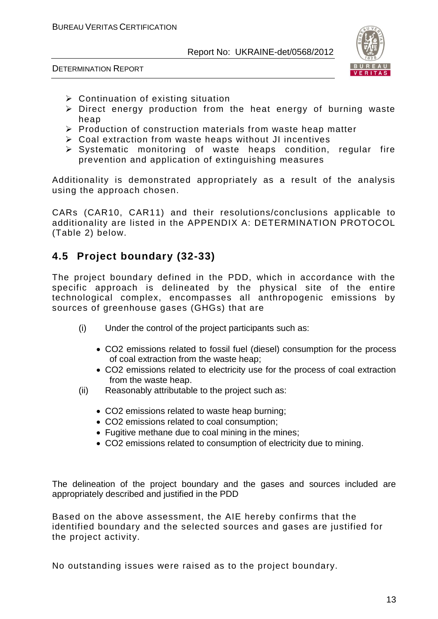

DETERMINATION REPORT

- $\triangleright$  Continuation of existing situation
- $\triangleright$  Direct energy production from the heat energy of burning waste heap
- $\triangleright$  Production of construction materials from waste heap matter
- Coal extraction from waste heaps without JI incentives
- $\triangleright$  Systematic monitoring of waste heaps condition, regular fire prevention and application of extinguishing measures

Additionality is demonstrated appropriately as a result of the analysis using the approach chosen.

CARs (CAR10, CAR11) and their resolutions/conclusions applicable to additionality are listed in the APPENDIX A: DETERMINATION PROTOCOL (Table 2) below.

# **4.5 Project boundary (32-33)**

The project boundary defined in the PDD, which in accordance with the specific approach is delineated by the physical site of the entire technological complex, encompasses all anthropogenic emissions by sources of greenhouse gases (GHGs) that are

- (i) Under the control of the project participants such as:
	- CO2 emissions related to fossil fuel (diesel) consumption for the process of coal extraction from the waste heap;
	- CO2 emissions related to electricity use for the process of coal extraction from the waste heap.
- (ii) Reasonably attributable to the project such as:
	- CO2 emissions related to waste heap burning;
	- CO2 emissions related to coal consumption;
	- Fugitive methane due to coal mining in the mines:
	- CO2 emissions related to consumption of electricity due to mining.

The delineation of the project boundary and the gases and sources included are appropriately described and justified in the PDD

Based on the above assessment, the AIE hereby confirms that the identified boundary and the selected sources and gases are justified for the project activity.

No outstanding issues were raised as to the project boundary.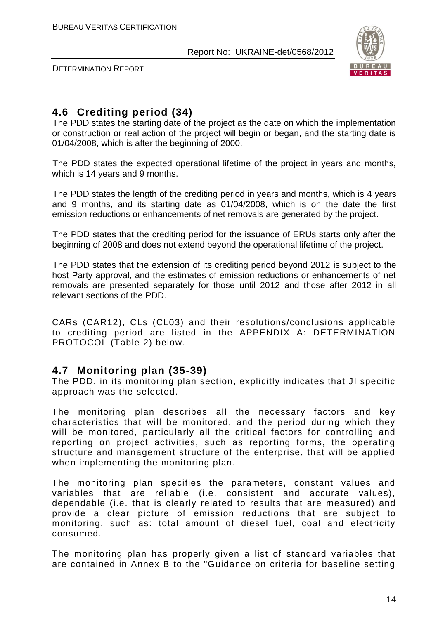

DETERMINATION REPORT

# **4.6 Crediting period (34)**

The PDD states the starting date of the project as the date on which the implementation or construction or real action of the project will begin or began, and the starting date is 01/04/2008, which is after the beginning of 2000.

The PDD states the expected operational lifetime of the project in years and months, which is 14 years and 9 months.

The PDD states the length of the crediting period in years and months, which is 4 years and 9 months, and its starting date as 01/04/2008, which is on the date the first emission reductions or enhancements of net removals are generated by the project.

The PDD states that the crediting period for the issuance of ERUs starts only after the beginning of 2008 and does not extend beyond the operational lifetime of the project.

The PDD states that the extension of its crediting period beyond 2012 is subject to the host Party approval, and the estimates of emission reductions or enhancements of net removals are presented separately for those until 2012 and those after 2012 in all relevant sections of the PDD.

CARs (CAR12), CLs (CL03) and their resolutions/conclusions applicable to crediting period are listed in the APPENDIX A: DETERMINATION PROTOCOL (Table 2) below.

# **4.7 Monitoring plan (35-39)**

The PDD, in its monitoring plan section, explicitly indicates that JI specific approach was the selected.

The monitoring plan describes all the necessary factors and key characteristics that will be monitored, and the period during which they will be monitored, particularly all the critical factors for controlling and reporting on project activities, such as reporting forms, the operating structure and management structure of the enterprise, that will be applied when implementing the monitoring plan.

The monitoring plan specifies the parameters, constant values and variables that are reliable (i.e. consistent and accurate values), dependable (i.e. that is clearly related to results that are measured) and provide a clear picture of emission reductions that are subject to monitoring, such as: total amount of diesel fuel, coal and electricity consumed.

The monitoring plan has properly given a list of standard variables that are contained in Annex B to the "Guidance on criteria for baseline setting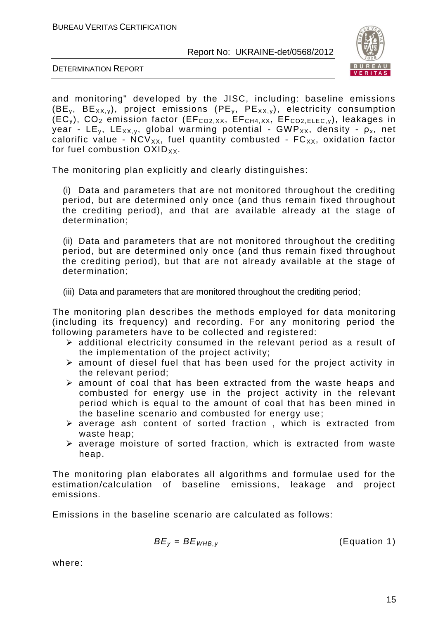

DETERMINATION REPORT

and monitoring" developed by the JISC, including: baseline emissions (BE<sub>y</sub>, BE<sub>XX,y</sub>), project emissions (PE<sub>y</sub>, PE<sub>XX,y</sub>), electricity consumption  $(EC_v)$ ,  $CO_2$  emission factor ( $EF_{CO2,XX}$ ,  $EF_{CH4,XX}$ ,  $EF_{CO2,ELEC,y}$ ), leakages in year - LE<sub>v</sub>, LE<sub>XX, v</sub>, global warming potential - GWP<sub>XX</sub>, density -  $\rho_x$ , net calorific value -  $NCV_{XX}$ , fuel quantity combusted -  $FC_{XX}$ , oxidation factor for fuel combustion  $OXID_{XX}$ .

The monitoring plan explicitly and clearly distinguishes:

(i) Data and parameters that are not monitored throughout the crediting period, but are determined only once (and thus remain fixed throughout the crediting period), and that are available already at the stage of determination;

(ii) Data and parameters that are not monitored throughout the crediting period, but are determined only once (and thus remain fixed throughout the crediting period), but that are not already available at the stage of determination;

(iii) Data and parameters that are monitored throughout the crediting period;

The monitoring plan describes the methods employed for data monitoring (including its frequency) and recording. For any monitoring period the following parameters have to be collected and registered:

- $\triangleright$  additional electricity consumed in the relevant period as a result of the implementation of the project activity;
- $\triangleright$  amount of diesel fuel that has been used for the project activity in the relevant period;
- $\triangleright$  amount of coal that has been extracted from the waste heaps and combusted for energy use in the project activity in the relevant period which is equal to the amount of coal that has been mined in the baseline scenario and combusted for energy use;
- $\triangleright$  average ash content of sorted fraction, which is extracted from waste heap;
- $\triangleright$  average moisture of sorted fraction, which is extracted from waste heap.

The monitoring plan elaborates all algorithms and formulae used for the estimation/calculation of baseline emissions, leakage and project emissions.

Emissions in the baseline scenario are calculated as follows:

$$
BE_y = BE_{WHB,y}
$$
 (Equation 1)

where: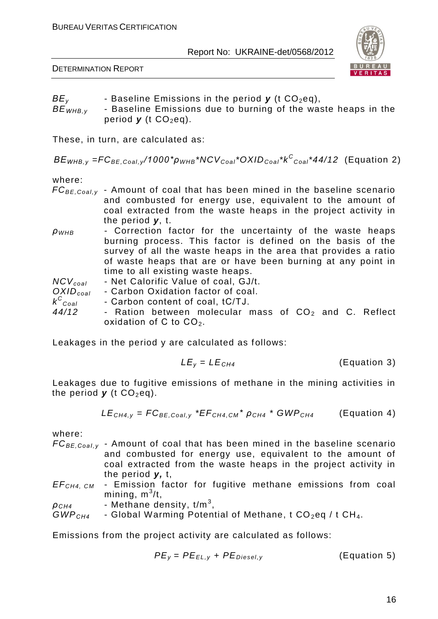DETERMINATION REPORT



- $BE<sub>v</sub>$  Baseline Emissions in the period *y* (t CO<sub>2</sub>eq),
- *BE*<sub>WHB, v</sub> Baseline Emissions due to burning of the waste heaps in the period  $y$  (t  $CO_2$ eq).

These, in turn, are calculated as:

*BЕWНВ,у =FCBE,Coal,y /1000\*ρWHB\*NCVCoal\*OXIDCoal\*k<sup>C</sup> Coal\*44/12* (Equation 2)

where:

- *FCBE,Coal,y* Amount of coal that has been mined in the baseline scenario and combusted for energy use, equivalent to the amount of coal extracted from the waste heaps in the project activity in the period *y*, t.
- *ρWHB* Correction factor for the uncertainty of the waste heaps burning process. This factor is defined on the basis of the survey of all the waste heaps in the area that provides a ratio of waste heaps that are or have been burning at any point in time to all existing waste heaps.

| $NCV_{coal}$<br>- Net Calorific Value of coal, GJ/t. |  |
|------------------------------------------------------|--|
|------------------------------------------------------|--|

*OXIDсoal* - Carbon Oxidation factor of coal.

- *k C Coal* - Carbon content of coal, tС/TJ.
- 44/12 Ration between molecular mass of CO<sub>2</sub> and C. Reflect oxidation of C to  $CO<sub>2</sub>$ .

Leakages in the period y are calculated as follows:

$$
LE_y = LE_{CH4}
$$
 (Equation 3)

Leakages due to fugitive emissions of methane in the mining activities in the period  $\boldsymbol{y}$  (t CO<sub>2</sub>eq).

$$
LE_{CH4,y} = FC_{BE,Coal,y} * EF_{CH4,CM} * \rho_{CH4} * GWP_{CH4}
$$
 (Equation 4)

where:

- *FC*<sub>BE, Coal,  $y$  Amount of coal that has been mined in the baseline scenario</sub> and combusted for energy use, equivalent to the amount of coal extracted from the waste heaps in the project activity in the period *y,* t,
- *EFCH4, CM* Emission factor for fugitive methane emissions from coal mining,  $m^3/t$ ,
- $\rho_{\text{\scriptsize{CH4}}}$  Methane density, t/m<sup>3</sup>, *GWP<sub>CH4</sub>* - Global Warming Potential of Methane, t CO<sub>2</sub>eq / t CH<sub>4</sub>.

Emissions from the project activity are calculated as follows:

$$
PE_y = PE_{EL,y} + PE_{Diesel,y}
$$
 (Equation 5)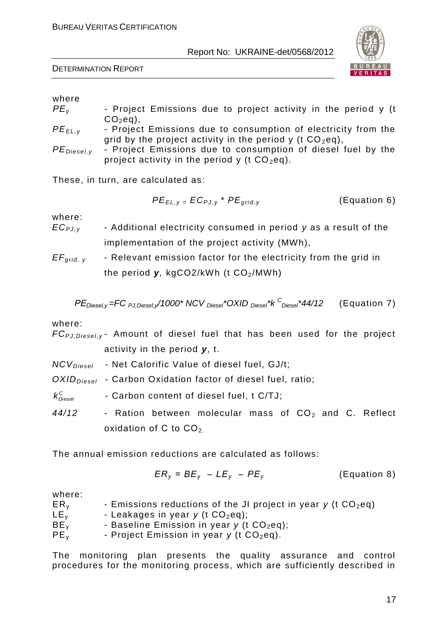

DETERMINATION REPORT

### where

- *PE<sub>v</sub>* **-** Project Emissions due to project activity in the period y (t  $CO<sub>2</sub>$ eq),
- *PE<sub>EL,v</sub>* Project Emissions due to consumption of electricity from the grid by the project activity in the period y (t  $CO<sub>2</sub>eq$ ),
- *PEDiesel,y* Project Emissions due to consumption of diesel fuel by the project activity in the period y (t  $CO<sub>2</sub>eq$ ).

These, in turn, are calculated as:

$$
PE_{EL,y} = EC_{PJ,y} * PE_{grid,y}
$$
 (Equation 6)

where:

- *ECPJ,y* Additional electricity consumed in period *y* as a result of the implementation of the project activity (MWh),
- *EF<sub>arid, v* Relevant emission factor for the electricity from the grid in</sub> the period y, kgCO2/kWh (t CO<sub>2</sub>/MWh)

$$
PE_{\text{Diesel}, y} = FC_{\text{PJ},\text{Diesel}, y}/1000 \times NCV_{\text{Diesel}} \times OXID_{\text{Diesel}} \times K^C_{\text{Diesel}} \times 44/12
$$
 (Equation 7)

### where:

|                                                            | $FC_{PJ.Diesel,v}$ Amount of diesel fuel that has been used for the project |
|------------------------------------------------------------|-----------------------------------------------------------------------------|
|                                                            | activity in the period $y$ , t.                                             |
|                                                            | $NCVDiesel$ - Net Calorific Value of diesel fuel, GJ/t;                     |
|                                                            | OXID <sub>Diesel</sub> - Carbon Oxidation factor of diesel fuel, ratio;     |
| $k_{\scriptscriptstyle \sf Diesel}^{\scriptscriptstyle C}$ | - Carbon content of diesel fuel, t C/TJ;                                    |
| 44/12                                                      | - Ration between molecular mass of $CO2$ and C. Reflect                     |
|                                                            | oxidation of C to $CO2$                                                     |

The annual emission reductions are calculated as follows:

$$
ER_y = BE_y - LE_y - PE_y
$$
 (Equation 8)

where:

| .               |                                                                   |
|-----------------|-------------------------------------------------------------------|
| ER <sub>v</sub> | - Emissions reductions of the JI project in year $y$ (t $CO2eq$ ) |
| LE <sub>v</sub> | - Leakages in year $y$ (t $CO2$ eq);                              |
| BE <sub>v</sub> | - Baseline Emission in year $y$ (t $CO2eq$ );                     |
| PE <sub>v</sub> | - Project Emission in year $y$ (t $CO2eq$ ).                      |

The monitoring plan presents the quality assurance and control procedures for the monitoring process, which are sufficiently described in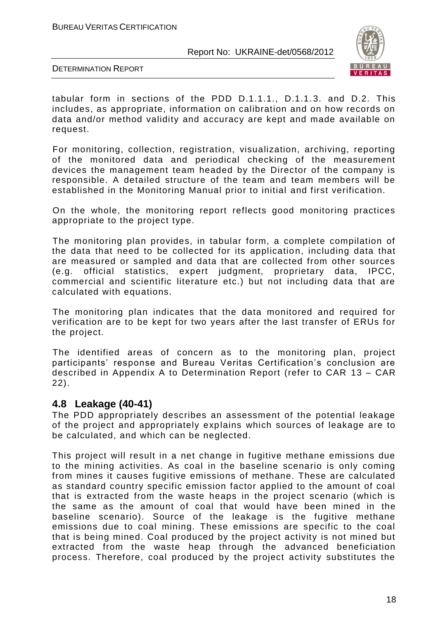

DETERMINATION REPORT

tabular form in sections of the PDD D.1.1.1., D.1.1.3. and D.2. This includes, as appropriate, information on calibration and on how records on data and/or method validity and accuracy are kept and made available on request.

For monitoring, collection, registration, visualization, archiving, reporting of the monitored data and periodical checking of the measurement devices the management team headed by the Director of the company is responsible. A detailed structure of the team and team members will be established in the Monitoring Manual prior to initial and first verification.

On the whole, the monitoring report reflects good monitoring practices appropriate to the project type.

The monitoring plan provides, in tabular form, a complete compilation of the data that need to be collected for its application, including data that are measured or sampled and data that are collected from other sources (e.g. official statistics, expert judgment, proprietary data, IPCC, commercial and scientific literature etc.) but not including data that are calculated with equations.

The monitoring plan indicates that the data monitored and required for verification are to be kept for two years after the last transfer of ERUs for the project.

The identified areas of concern as to the monitoring plan, project participants' response and Bureau Veritas Certification's conclusion are described in Appendix A to Determination Report (refer to CAR 13 – CAR 22).

# **4.8 Leakage (40-41)**

The PDD appropriately describes an assessment of the potential leakage of the project and appropriately explains which sources of leakage are to be calculated, and which can be neglected.

This project will result in a net change in fugitive methane emissions due to the mining activities. As coal in the baseline scenario is only coming from mines it causes fugitive emissions of methane. These are calculated as standard country specific emission factor applied to the amount of coal that is extracted from the waste heaps in the project scenario (which is the same as the amount of coal that would have been mined in the baseline scenario). Source of the leakage is the fugitive methane emissions due to coal mining. These emissions are specific to the coal that is being mined. Coal produced by the project activity is not mined but extracted from the waste heap through the advanced beneficiation process. Therefore, coal produced by the project activity substitutes the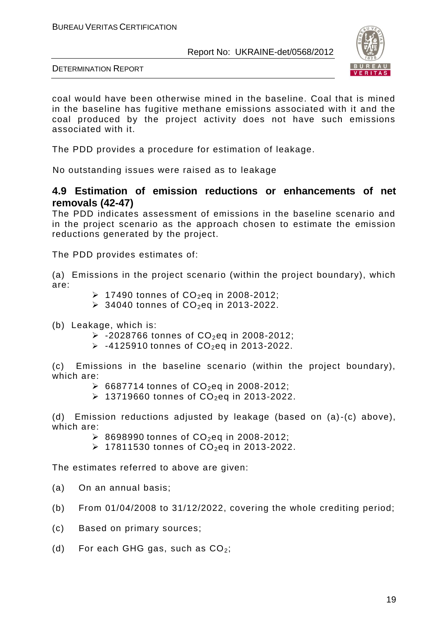

DETERMINATION REPORT

coal would have been otherwise mined in the baseline. Coal that is mined in the baseline has fugitive methane emissions associated with it and the coal produced by the project activity does not have such emissions associated with it.

The PDD provides a procedure for estimation of leakage.

No outstanding issues were raised as to leakage

# **4.9 Estimation of emission reductions or enhancements of net removals (42-47)**

The PDD indicates assessment of emissions in the baseline scenario and in the project scenario as the approach chosen to estimate the emission reductions generated by the project.

The PDD provides estimates of:

(a) Emissions in the project scenario (within the project boundary), which are:

- $\triangleright$  17490 tonnes of CO<sub>2</sub>eq in 2008-2012;
- $\geq$  34040 tonnes of CO<sub>2</sub>eq in 2013-2022.
- (b) Leakage, which is:
	- $> -2028766$  tonnes of  $CO<sub>2</sub>$ eq in 2008-2012;
	- $\triangleright$  -4125910 tonnes of CO<sub>2</sub>eq in 2013-2022.

(c) Emissions in the baseline scenario (within the project boundary), which are:

- $\triangleright$  6687714 tonnes of CO<sub>2</sub>eq in 2008-2012;
- $\geq$  13719660 tonnes of CO<sub>2</sub>eq in 2013-2022.

(d) Emission reductions adjusted by leakage (based on (a)-(c) above), which are:

- $\geq$  8698990 tonnes of CO<sub>2</sub>eq in 2008-2012;
- $\geq$  17811530 tonnes of CO<sub>2</sub>eq in 2013-2022.

The estimates referred to above are given:

- (a) On an annual basis;
- (b) From 01/04/2008 to 31/12/2022, covering the whole crediting period;
- (c) Based on primary sources;
- (d) For each GHG gas, such as  $CO<sub>2</sub>$ ;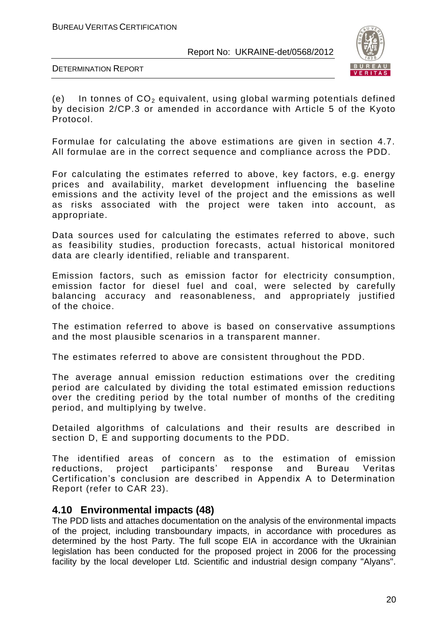

DETERMINATION REPORT

(e) In tonnes of  $CO<sub>2</sub>$  equivalent, using global warming potentials defined by decision 2/CP.3 or amended in accordance with Article 5 of the Kyoto Protocol.

Formulae for calculating the above estimations are given in section 4.7. All formulae are in the correct sequence and compliance across the PDD.

For calculating the estimates referred to above, key factors, e.g. energy prices and availability, market development influencing the baseline emissions and the activity level of the project and the emissions as well as risks associated with the project were taken into account, as appropriate.

Data sources used for calculating the estimates referred to above, such as feasibility studies, production forecasts, actual historical monitored data are clearly identified, reliable and transparent.

Emission factors, such as emission factor for electricity consumption, emission factor for diesel fuel and coal, were selected by carefully balancing accuracy and reasonableness, and appropriately justified of the choice.

The estimation referred to above is based on conservative assumptions and the most plausible scenarios in a transparent manner.

The estimates referred to above are consistent throughout the PDD.

The average annual emission reduction estimations over the crediting period are calculated by dividing the total estimated emission reductions over the crediting period by the total number of months of the crediting period, and multiplying by twelve.

Detailed algorithms of calculations and their results are described in section D, E and supporting documents to the PDD.

The identified areas of concern as to the estimation of emission reductions, project participants' response and Bureau Veritas Certification's conclusion are described in Appendix A to Determination Report (refer to CAR 23).

# **4.10 Environmental impacts (48)**

The PDD lists and attaches documentation on the analysis of the environmental impacts of the project, including transboundary impacts, in accordance with procedures as determined by the host Party. The full scope EIA in accordance with the Ukrainian legislation has been conducted for the proposed project in 2006 for the processing facility by the local developer Ltd. Scientific and industrial design company "Alyans".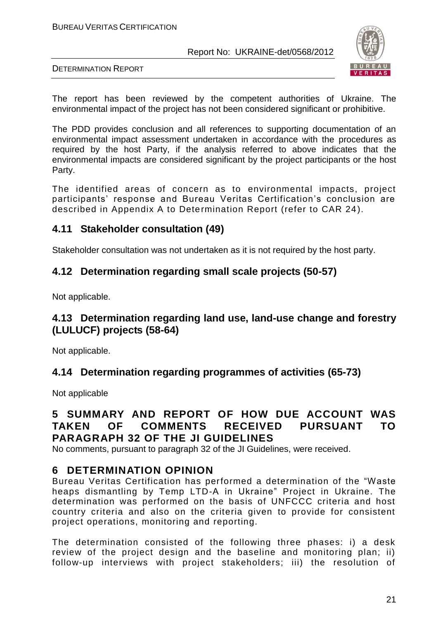

DETERMINATION REPORT

The report has been reviewed by the competent authorities of Ukraine. The environmental impact of the project has not been considered significant or prohibitive.

The PDD provides conclusion and all references to supporting documentation of an environmental impact assessment undertaken in accordance with the procedures as required by the host Party, if the analysis referred to above indicates that the environmental impacts are considered significant by the project participants or the host Party.

The identified areas of concern as to environmental impacts, project participants' response and Bureau Veritas Certification's conclusion are described in Appendix A to Determination Report (refer to CAR 24).

# **4.11 Stakeholder consultation (49)**

Stakeholder consultation was not undertaken as it is not required by the host party.

# **4.12 Determination regarding small scale projects (50-57)**

Not applicable.

# **4.13 Determination regarding land use, land-use change and forestry (LULUCF) projects (58-64)**

Not applicable.

# **4.14 Determination regarding programmes of activities (65-73)**

Not applicable

# **5 SUMMARY AND REPORT OF HOW DUE ACCOUNT WAS TAKEN OF COMMENTS RECEIVED PURSUANT TO PARAGRAPH 32 OF THE JI GUIDELINES**

No comments, pursuant to paragraph 32 of the JI Guidelines, were received.

# **6 DETERMINATION OPINION**

Bureau Veritas Certification has performed a determination of the "Waste heaps dismantling by Temp LTD-A in Ukraine" Project in Ukraine. The determination was performed on the basis of UNFCCC criteria and host country criteria and also on the criteria given to provide for consistent project operations, monitoring and reporting.

The determination consisted of the following three phases: i) a desk review of the project design and the baseline and monitoring plan; ii) follow-up interviews with project stakeholders; iii) the resolution of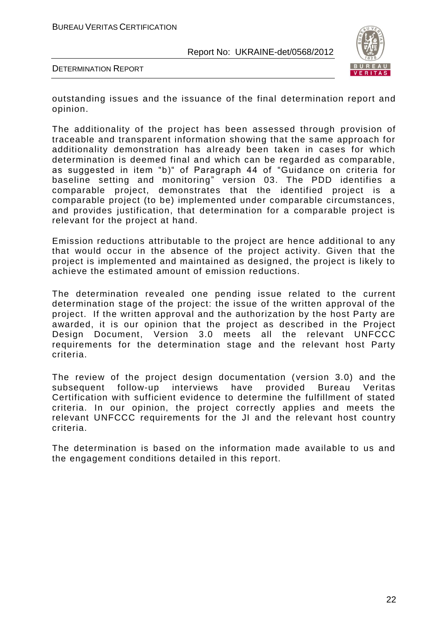

DETERMINATION REPORT

outstanding issues and the issuance of the final determination report and opinion.

The additionality of the project has been assessed through provision of traceable and transparent information showing that the same approach for additionality demonstration has already been taken in cases for which determination is deemed final and which can be regarded as comparable, as suggested in item "b)" of Paragraph 44 of "Guidance on criteria for baseline setting and monitoring" version 03. The PDD identifies a comparable project, demonstrates that the identified project is a comparable project (to be) implemented under comparable circumstances, and provides justification, that determination for a comparable project is relevant for the project at hand.

Emission reductions attributable to the project are hence additional to any that would occur in the absence of the project activity. Given that the project is implemented and maintained as designed, the project is likely to achieve the estimated amount of emission reductions.

The determination revealed one pending issue related to the current determination stage of the project: the issue of the written approval of the project. If the written approval and the authorization by the host Party are awarded, it is our opinion that the project as described in the Project Design Document, Version 3.0 meets all the relevant UNFCCC requirements for the determination stage and the relevant host Party criteria.

The review of the project design documentation ( version 3.0) and the subsequent follow-up interviews have provided Bureau Veritas Certification with sufficient evidence to determine the fulfillment of stated criteria. In our opinion, the project correctly applies and meets the relevant UNFCCC requirements for the JI and the relevant host country criteria.

The determination is based on the information made available to us and the engagement conditions detailed in this report.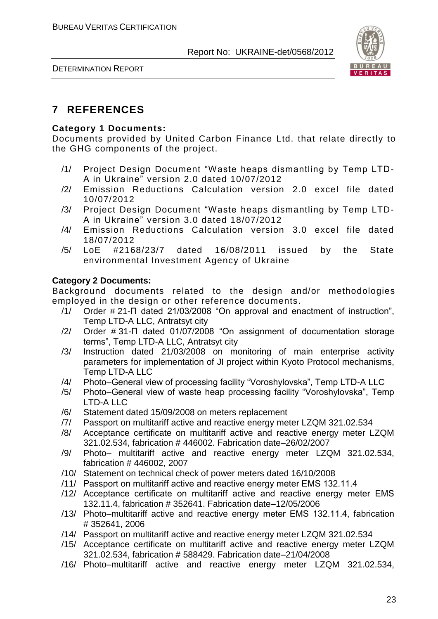

# **7 REFERENCES**

### **Category 1 Documents:**

Documents provided by United Carbon Finance Ltd. that relate directly to the GHG components of the project.

- /1/ Project Design Document "Waste heaps dismantling by Temp LTD-A in Ukraine" version 2.0 dated 10/07/2012
- /2/ Emission Reductions Calculation version 2.0 excel file dated 10/07/2012
- /3/ Project Design Document "Waste heaps dismantling by Temp LTD-A in Ukraine" version 3.0 dated 18/07/2012
- /4/ Emission Reductions Calculation version 3.0 excel file dated 18/07/2012
- /5/ LoE #2168/23/7 dated 16/08/2011 issued by the State environmental Investment Agency of Ukraine

### **Category 2 Documents:**

Background documents related to the design and/or methodologies employed in the design or other reference documents.

- /1/ Order # 21-П dated 21/03/2008 "On approval and enactment of instruction", Temp LTD-A LLC, Antratsyt city
- /2/ Order # 31-П dated 01/07/2008 "On assignment of documentation storage terms", Temp LTD-A LLC, Antratsyt city
- /3/ Instruction dated 21/03/2008 on monitoring of main enterprise activity parameters for implementation of JI project within Kyoto Protocol mechanisms, Temp LTD-A LLC
- /4/ Photo–General view of processing facility "Voroshylovska", Temp LTD-A LLC
- /5/ Photo–General view of waste heap processing facility "Voroshylovska", Temp LTD-A LLC
- /6/ Statement dated 15/09/2008 on meters replacement
- /7/ Passport on multitariff active and reactive energy meter LZQM 321.02.534
- /8/ Acceptance certificate on multitariff active and reactive energy meter LZQM 321.02.534, fabrication # 446002. Fabrication date–26/02/2007
- /9/ Photo– multitariff active and reactive energy meter LZQM 321.02.534, fabrication # 446002, 2007
- /10/ Statement on technical check of power meters dated 16/10/2008
- /11/ Passport on multitariff active and reactive energy meter ЕМS 132.11.4
- /12/ Acceptance certificate on multitariff active and reactive energy meter ЕМS 132.11.4, fabrication # 352641. Fabrication date–12/05/2006
- /13/ Photo–multitariff active and reactive energy meter ЕМS 132.11.4, fabrication # 352641, 2006
- /14/ Passport on multitariff active and reactive energy meter LZQM 321.02.534
- /15/ Acceptance certificate on multitariff active and reactive energy meter LZQM 321.02.534, fabrication # 588429. Fabrication date–21/04/2008
- /16/ Photo–multitariff active and reactive energy meter LZQM 321.02.534,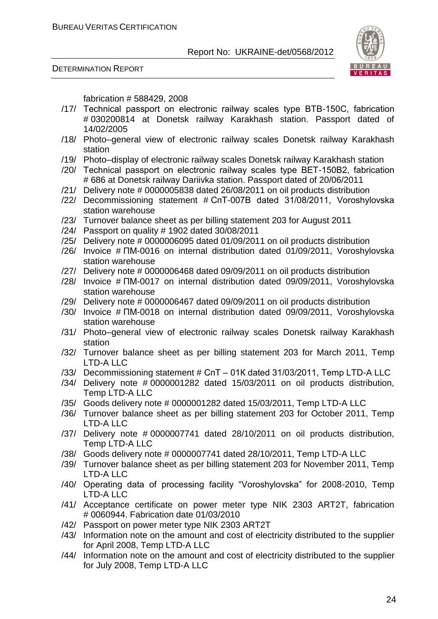#### DETERMINATION REPORT



fabrication # 588429, 2008

- /17/ Technical passport on electronic railway scales type ВТВ-150С, fabrication # 030200814 at Donetsk railway Karakhash station. Passport dated of 14/02/2005
- /18/ Photo–general view of electronic railway scales Donetsk railway Karakhash station
- /19/ Photo–display of electronic railway scales Donetsk railway Karakhash station
- /20/ Technical passport on electronic railway scales type ВЕТ-150В2, fabrication # 686 at Donetsk railway Dariivka station. Passport dated of 20/06/2011
- /21/ Delivery note # 0000005838 dated 26/08/2011 on oil products distribution
- /22/ Decommissioning statement # СпТ-007В dated 31/08/2011, Voroshylovska station warehouse
- /23/ Turnover balance sheet as per billing statement 203 for August 2011
- /24/ Passport on quality # 1902 dated 30/08/2011
- /25/ Delivery note # 0000006095 dated 01/09/2011 on oil products distribution
- /26/ Invoice # ПМ-0016 on internal distribution dated 01/09/2011, Voroshylovska station warehouse
- /27/ Delivery note # 0000006468 dated 09/09/2011 on oil products distribution
- /28/ Invoice # ПМ-0017 on internal distribution dated 09/09/2011, Voroshylovska station warehouse
- /29/ Delivery note # 0000006467 dated 09/09/2011 on oil products distribution
- /30/ Invoice # ПМ-0018 on internal distribution dated 09/09/2011, Voroshylovska station warehouse
- /31/ Photo–general view of electronic railway scales Donetsk railway Karakhash station
- /32/ Turnover balance sheet as per billing statement 203 for March 2011, Temp LTD-A LLC
- /33/ Decommissioning statement # СпТ 01К dated 31/03/2011, Temp LTD-A LLC
- /34/ Delivery note # 0000001282 dated 15/03/2011 on oil products distribution, Temp LTD-A LLC
- /35/ Goods delivery note # 0000001282 dated 15/03/2011, Temp LTD-A LLC
- /36/ Turnover balance sheet as per billing statement 203 for October 2011, Temp LTD-A LLC
- /37/ Delivery note # 0000007741 dated 28/10/2011 on oil products distribution, Temp LTD-A LLC
- /38/ Goods delivery note # 0000007741 dated 28/10/2011, Temp LTD-A LLC
- /39/ Turnover balance sheet as per billing statement 203 for November 2011, Temp LTD-A LLC
- /40/ Operating data of processing facility "Voroshylovska" for 2008-2010, Temp LTD-A LLC
- /41/ Acceptance certificate on power meter type NIK 2303 ART2T, fabrication # 0060944. Fabrication date 01/03/2010
- /42/ Passport on power meter type NIK 2303 ART2T
- /43/ Information note on the amount and cost of electricity distributed to the supplier for April 2008, Temp LTD-A LLC
- /44/ Information note on the amount and cost of electricity distributed to the supplier for July 2008, Temp LTD-A LLC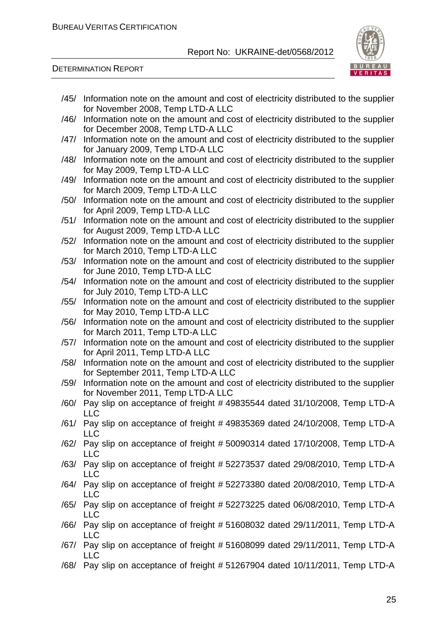

DETERMINATION REPORT

/45/ Information note on the amount and cost of electricity distributed to the supplier for November 2008, Temp LTD-A LLC /46/ Information note on the amount and cost of electricity distributed to the supplier for December 2008, Temp LTD-A LLC /47/ Information note on the amount and cost of electricity distributed to the supplier for January 2009, Temp LTD-A LLC /48/ Information note on the amount and cost of electricity distributed to the supplier for May 2009, Temp LTD-A LLC /49/ Information note on the amount and cost of electricity distributed to the supplier for March 2009, Temp LTD-A LLC /50/ Information note on the amount and cost of electricity distributed to the supplier for April 2009, Temp LTD-A LLC /51/ Information note on the amount and cost of electricity distributed to the supplier for August 2009, Temp LTD-A LLC /52/ Information note on the amount and cost of electricity distributed to the supplier for March 2010, Temp LTD-A LLC /53/ Information note on the amount and cost of electricity distributed to the supplier for June 2010, Temp LTD-A LLC /54/ Information note on the amount and cost of electricity distributed to the supplier for July 2010, Temp LTD-A LLC /55/ Information note on the amount and cost of electricity distributed to the supplier for May 2010, Temp LTD-A LLC /56/ Information note on the amount and cost of electricity distributed to the supplier for March 2011, Temp LTD-A LLC /57/ Information note on the amount and cost of electricity distributed to the supplier for April 2011, Temp LTD-A LLC /58/ Information note on the amount and cost of electricity distributed to the supplier for September 2011, Temp LTD-A LLC /59/ Information note on the amount and cost of electricity distributed to the supplier for November 2011, Temp LTD-A LLC /60/ Pay slip on acceptance of freight # 49835544 dated 31/10/2008, Temp LTD-A LLC /61/ Pay slip on acceptance of freight # 49835369 dated 24/10/2008, Temp LTD-A LLC /62/ Pay slip on acceptance of freight # 50090314 dated 17/10/2008, Temp LTD-A LLC /63/ Pay slip on acceptance of freight # 52273537 dated 29/08/2010, Temp LTD-A LLC /64/ Pay slip on acceptance of freight # 52273380 dated 20/08/2010, Temp LTD-A LLC /65/ Pay slip on acceptance of freight # 52273225 dated 06/08/2010, Temp LTD-A LLC /66/ Pay slip on acceptance of freight # 51608032 dated 29/11/2011, Temp LTD-A LLC /67/ Pay slip on acceptance of freight # 51608099 dated 29/11/2011, Temp LTD-A LLC /68/ Pay slip on acceptance of freight # 51267904 dated 10/11/2011, Temp LTD-A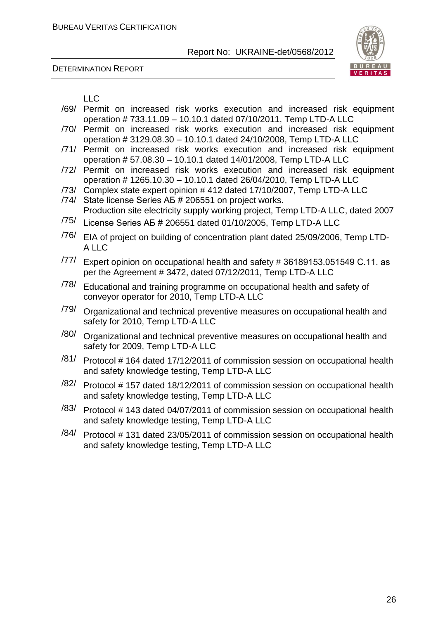DETERMINATION REPORT



LLC

- /69/ Permit on increased risk works execution and increased risk equipment operation # 733.11.09 – 10.10.1 dated 07/10/2011, Temp LTD-A LLC
- /70/ Permit on increased risk works execution and increased risk equipment operation # 3129.08.30 – 10.10.1 dated 24/10/2008, Temp LTD-A LLC
- /71/ Permit on increased risk works execution and increased risk equipment operation # 57.08.30 – 10.10.1 dated 14/01/2008, Temp LTD-A LLC
- /72/ Permit on increased risk works execution and increased risk equipment operation # 1265.10.30 – 10.10.1 dated 26/04/2010, Temp LTD-A LLC
- /73/ Complex state expert opinion # 412 dated 17/10/2007, Temp LTD-A LLC
- /74/ State license Series АБ # 206551 on project works. Production site electricity supply working project, Temp LTD-A LLC, dated 2007
- /75/ License Series АБ # 206551 dated 01/10/2005, Temp LTD-A LLC
- /76/ EIA of project on building of concentration plant dated 25/09/2006, Temp LTD-A LLC
- /77/ Expert opinion on occupational health and safety # 36189153.051549 С.11. as per the Agreement # 3472, dated 07/12/2011, Temp LTD-A LLC
- /78/ Educational and training programme on occupational health and safety of conveyor operator for 2010, Temp LTD-A LLC
- /79/ Organizational and technical preventive measures on occupational health and safety for 2010, Temp LTD-A LLC
- $/80/$  Organizational and technical preventive measures on occupational health and safety for 2009, Temp LTD-A LLC
- /81/ Protocol # 164 dated 17/12/2011 of commission session on occupational health and safety knowledge testing, Temp LTD-A LLC
- $/82/$  Protocol # 157 dated 18/12/2011 of commission session on occupational health and safety knowledge testing, Temp LTD-A LLC
- /83/ Protocol # 143 dated 04/07/2011 of commission session on occupational health and safety knowledge testing, Temp LTD-A LLC
- $/84/$  Protocol # 131 dated 23/05/2011 of commission session on occupational health and safety knowledge testing, Temp LTD-A LLC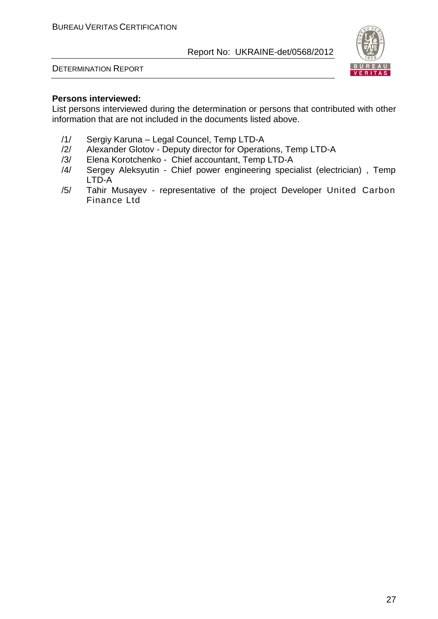



### **Persons interviewed:**

List persons interviewed during the determination or persons that contributed with other information that are not included in the documents listed above.

- /1/ Sergiy Karuna Legal Councel, Temp LTD-A
- Alexander Glotov Deputy director for Operations, Temp LTD-A
- /3/ Elena Korotchenko Chief accountant, Temp LTD-A
- /4/ Sergey Aleksyutin Chief power engineering specialist (electrician) , Temp LTD-A
- /5/ Tahir Musayev representative of the project Developer United Carbon Finance Ltd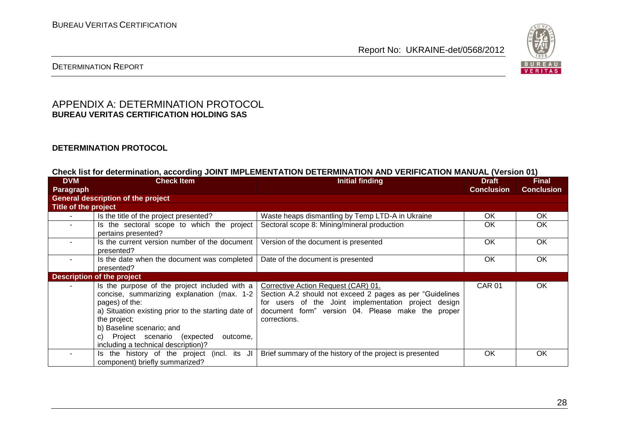

# DETERMINATION REPORT

### APPENDIX A: DETERMINATION PROTOCOL **BUREAU VERITAS CERTIFICATION HOLDING SAS**

#### **DETERMINATION PROTOCOL**

#### **Check list for determination, according JOINT IMPLEMENTATION DETERMINATION AND VERIFICATION MANUAL (Version 01)**

| <b>DVM</b>           | <b>Check Item</b>                                                                                                                                                                                                                                                                                        | <b>Initial finding</b>                                                                                                                                                                                                        | <b>Draft</b>      | <b>Final</b>      |
|----------------------|----------------------------------------------------------------------------------------------------------------------------------------------------------------------------------------------------------------------------------------------------------------------------------------------------------|-------------------------------------------------------------------------------------------------------------------------------------------------------------------------------------------------------------------------------|-------------------|-------------------|
| <b>Paragraph</b>     |                                                                                                                                                                                                                                                                                                          |                                                                                                                                                                                                                               | <b>Conclusion</b> | <b>Conclusion</b> |
|                      | <b>General description of the project</b>                                                                                                                                                                                                                                                                |                                                                                                                                                                                                                               |                   |                   |
| Title of the project |                                                                                                                                                                                                                                                                                                          |                                                                                                                                                                                                                               |                   |                   |
|                      | Is the title of the project presented?                                                                                                                                                                                                                                                                   | Waste heaps dismantling by Temp LTD-A in Ukraine                                                                                                                                                                              | OK.               | <b>OK</b>         |
|                      | Is the sectoral scope to which the project<br>pertains presented?                                                                                                                                                                                                                                        | Sectoral scope 8: Mining/mineral production                                                                                                                                                                                   | 0K                | <b>OK</b>         |
|                      | Is the current version number of the document<br>presented?                                                                                                                                                                                                                                              | Version of the document is presented                                                                                                                                                                                          | <b>OK</b>         | <b>OK</b>         |
|                      | Is the date when the document was completed<br>presented?                                                                                                                                                                                                                                                | Date of the document is presented                                                                                                                                                                                             | OK.               | OK                |
|                      | <b>Description of the project</b>                                                                                                                                                                                                                                                                        |                                                                                                                                                                                                                               |                   |                   |
|                      | Is the purpose of the project included with a<br>concise, summarizing explanation (max. 1-2<br>pages) of the:<br>a) Situation existing prior to the starting date of<br>the project;<br>b) Baseline scenario; and<br>Project scenario (expected<br>outcome.<br>C)<br>including a technical description)? | Corrective Action Request (CAR) 01.<br>Section A.2 should not exceed 2 pages as per "Guidelines"<br>for users of the Joint implementation project design<br>document form" version 04. Please make the proper<br>corrections. | <b>CAR 01</b>     | OK                |
|                      | Is the history of the project (incl. its JI<br>component) briefly summarized?                                                                                                                                                                                                                            | Brief summary of the history of the project is presented                                                                                                                                                                      | <b>OK</b>         | <b>OK</b>         |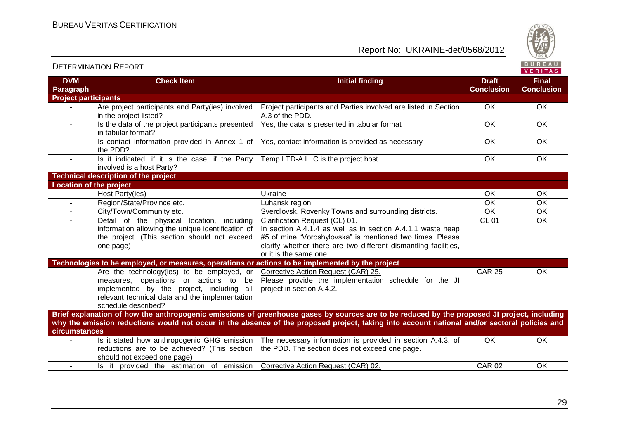Report No: UKRAINE-det/0568/2012



|                                |                                                                                                                                                                                                              |                                                                                                                                                                                                                                                                                              |                                   | . <u>.</u>                        |
|--------------------------------|--------------------------------------------------------------------------------------------------------------------------------------------------------------------------------------------------------------|----------------------------------------------------------------------------------------------------------------------------------------------------------------------------------------------------------------------------------------------------------------------------------------------|-----------------------------------|-----------------------------------|
| <b>DVM</b><br><b>Paragraph</b> | <b>Check Item</b>                                                                                                                                                                                            | <b>Initial finding</b>                                                                                                                                                                                                                                                                       | <b>Draft</b><br><b>Conclusion</b> | <b>Final</b><br><b>Conclusion</b> |
| <b>Project participants</b>    |                                                                                                                                                                                                              |                                                                                                                                                                                                                                                                                              |                                   |                                   |
|                                | Are project participants and Party(ies) involved<br>in the project listed?                                                                                                                                   | Project participants and Parties involved are listed in Section<br>A.3 of the PDD.                                                                                                                                                                                                           | OK                                | <b>OK</b>                         |
|                                | Is the data of the project participants presented<br>in tabular format?                                                                                                                                      | Yes, the data is presented in tabular format                                                                                                                                                                                                                                                 | <b>OK</b>                         | OK                                |
| $\sim$                         | Is contact information provided in Annex 1 of<br>the PDD?                                                                                                                                                    | Yes, contact information is provided as necessary                                                                                                                                                                                                                                            | <b>OK</b>                         | OK                                |
|                                | Is it indicated, if it is the case, if the Party<br>involved is a host Party?                                                                                                                                | Temp LTD-A LLC is the project host                                                                                                                                                                                                                                                           | $\overline{OK}$                   | OK                                |
|                                | <b>Technical description of the project</b>                                                                                                                                                                  |                                                                                                                                                                                                                                                                                              |                                   |                                   |
|                                | <b>Location of the project</b>                                                                                                                                                                               |                                                                                                                                                                                                                                                                                              |                                   |                                   |
|                                | Host Party(ies)                                                                                                                                                                                              | <b>Ukraine</b>                                                                                                                                                                                                                                                                               | OK                                | OK                                |
|                                | Region/State/Province etc.                                                                                                                                                                                   | Luhansk region                                                                                                                                                                                                                                                                               | OK                                | OK                                |
|                                | City/Town/Community etc.                                                                                                                                                                                     | Sverdlovsk, Rovenky Towns and surrounding districts.                                                                                                                                                                                                                                         | OK                                | OK                                |
|                                | Detail of the physical<br>location, including<br>information allowing the unique identification of<br>the project. (This section should not exceed<br>one page)                                              | Clarification Request (CL) 01.<br>In section A.4.1.4 as well as in section A.4.1.1 waste heap<br>#5 of mine "Voroshylovska" is mentioned two times. Please<br>clarify whether there are two different dismantling facilities,<br>or it is the same one.                                      | <b>CL 01</b>                      | OK                                |
|                                | Technologies to be employed, or measures, operations or actions to be implemented by the project                                                                                                             |                                                                                                                                                                                                                                                                                              |                                   |                                   |
|                                | Are the technology(ies) to be employed, or<br>measures, operations or actions to<br>be<br>implemented by the project, including all<br>relevant technical data and the implementation<br>schedule described? | Corrective Action Request (CAR) 25.<br>Please provide the implementation schedule for the JI<br>project in section A.4.2.                                                                                                                                                                    | <b>CAR 25</b>                     | OK.                               |
| <b>circumstances</b>           |                                                                                                                                                                                                              | Brief explanation of how the anthropogenic emissions of greenhouse gases by sources are to be reduced by the proposed JI project, including<br>why the emission reductions would not occur in the absence of the proposed project, taking into account national and/or sectoral policies and |                                   |                                   |
|                                | should not exceed one page)                                                                                                                                                                                  | Is it stated how anthropogenic GHG emission   The necessary information is provided in section A.4.3. of<br>reductions are to be achieved? (This section $\vert$ the PDD. The section does not exceed one page.                                                                              | <b>OK</b>                         | <b>OK</b>                         |
|                                | Is it provided the estimation of emission Corrective Action Request (CAR) 02.                                                                                                                                |                                                                                                                                                                                                                                                                                              | <b>CAR 02</b>                     | OK                                |

29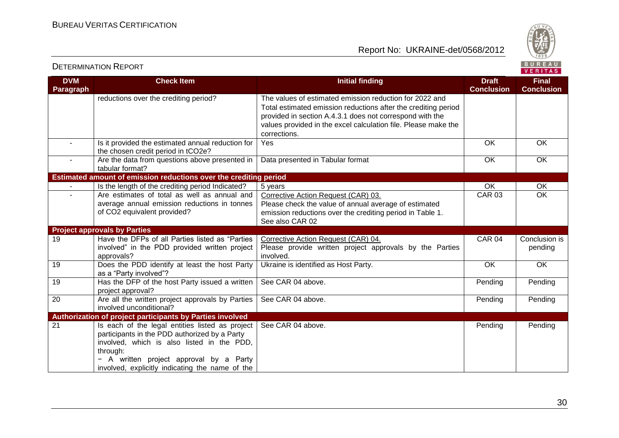

| <b>DVM</b><br>Paragraph | <b>Check Item</b>                                                                                                                                                                                                                                      | <b>Initial finding</b>                                                                                                                                                                                                                                                  | <b>Draft</b><br><b>Conclusion</b> | <b>Final</b><br><b>Conclusion</b> |
|-------------------------|--------------------------------------------------------------------------------------------------------------------------------------------------------------------------------------------------------------------------------------------------------|-------------------------------------------------------------------------------------------------------------------------------------------------------------------------------------------------------------------------------------------------------------------------|-----------------------------------|-----------------------------------|
|                         | reductions over the crediting period?                                                                                                                                                                                                                  | The values of estimated emission reduction for 2022 and<br>Total estimated emission reductions after the crediting period<br>provided in section A.4.3.1 does not correspond with the<br>values provided in the excel calculation file. Please make the<br>corrections. |                                   |                                   |
| $\sim$                  | Is it provided the estimated annual reduction for<br>the chosen credit period in tCO2e?                                                                                                                                                                | Yes                                                                                                                                                                                                                                                                     | OK                                | OK                                |
| $\sim$                  | Are the data from questions above presented in<br>tabular format?                                                                                                                                                                                      | Data presented in Tabular format                                                                                                                                                                                                                                        | <b>OK</b>                         | <b>OK</b>                         |
|                         | Estimated amount of emission reductions over the crediting period                                                                                                                                                                                      |                                                                                                                                                                                                                                                                         |                                   |                                   |
|                         | Is the length of the crediting period Indicated?                                                                                                                                                                                                       | 5 years                                                                                                                                                                                                                                                                 | OK                                | OK                                |
|                         | Are estimates of total as well as annual and                                                                                                                                                                                                           | Corrective Action Request (CAR) 03.                                                                                                                                                                                                                                     | <b>CAR 03</b>                     | OK                                |
|                         | average annual emission reductions in tonnes                                                                                                                                                                                                           | Please check the value of annual average of estimated                                                                                                                                                                                                                   |                                   |                                   |
|                         | of CO2 equivalent provided?                                                                                                                                                                                                                            | emission reductions over the crediting period in Table 1.                                                                                                                                                                                                               |                                   |                                   |
|                         |                                                                                                                                                                                                                                                        | See also CAR 02                                                                                                                                                                                                                                                         |                                   |                                   |
|                         | <b>Project approvals by Parties</b>                                                                                                                                                                                                                    |                                                                                                                                                                                                                                                                         |                                   |                                   |
| 19                      | Have the DFPs of all Parties listed as "Parties                                                                                                                                                                                                        | Corrective Action Request (CAR) 04.                                                                                                                                                                                                                                     | <b>CAR 04</b>                     | Conclusion is                     |
|                         | involved" in the PDD provided written project<br>approvals?                                                                                                                                                                                            | Please provide written project approvals by the Parties<br>involved.                                                                                                                                                                                                    |                                   | pending                           |
| 19                      | Does the PDD identify at least the host Party<br>as a "Party involved"?                                                                                                                                                                                | Ukraine is identified as Host Party.                                                                                                                                                                                                                                    | OK                                | OK                                |
| 19                      | Has the DFP of the host Party issued a written<br>project approval?                                                                                                                                                                                    | See CAR 04 above.                                                                                                                                                                                                                                                       | Pending                           | Pending                           |
| $\overline{20}$         | Are all the written project approvals by Parties<br>involved unconditional?                                                                                                                                                                            | See CAR 04 above.                                                                                                                                                                                                                                                       | Pending                           | Pending                           |
|                         | Authorization of project participants by Parties involved                                                                                                                                                                                              |                                                                                                                                                                                                                                                                         |                                   |                                   |
| 21                      | Is each of the legal entities listed as project<br>participants in the PDD authorized by a Party<br>involved, which is also listed in the PDD,<br>through:<br>A written project approval by a Party<br>involved, explicitly indicating the name of the | See CAR 04 above.                                                                                                                                                                                                                                                       | Pending                           | Pending                           |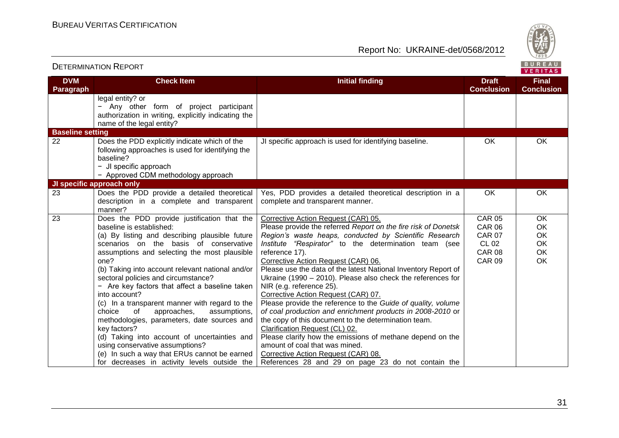

| <b>DVM</b>              | <b>Check Item</b>                                                                                                                                                                                                                                                                                                                                                                                                                                                                                                                                                                                                                                                                                                                            | <b>Initial finding</b>                                                                                                                                                                                                                                                                                                                                                                                                                                                                                                                                                                                                                                                                                                                                                                                                                                                                                    | <b>Draft</b><br><b>Conclusion</b>                                                                 | <b>Final</b><br><b>Conclusion</b>             |
|-------------------------|----------------------------------------------------------------------------------------------------------------------------------------------------------------------------------------------------------------------------------------------------------------------------------------------------------------------------------------------------------------------------------------------------------------------------------------------------------------------------------------------------------------------------------------------------------------------------------------------------------------------------------------------------------------------------------------------------------------------------------------------|-----------------------------------------------------------------------------------------------------------------------------------------------------------------------------------------------------------------------------------------------------------------------------------------------------------------------------------------------------------------------------------------------------------------------------------------------------------------------------------------------------------------------------------------------------------------------------------------------------------------------------------------------------------------------------------------------------------------------------------------------------------------------------------------------------------------------------------------------------------------------------------------------------------|---------------------------------------------------------------------------------------------------|-----------------------------------------------|
| Paragraph               | legal entity? or<br>Any other form of project participant<br>-<br>authorization in writing, explicitly indicating the<br>name of the legal entity?                                                                                                                                                                                                                                                                                                                                                                                                                                                                                                                                                                                           |                                                                                                                                                                                                                                                                                                                                                                                                                                                                                                                                                                                                                                                                                                                                                                                                                                                                                                           |                                                                                                   |                                               |
| <b>Baseline setting</b> |                                                                                                                                                                                                                                                                                                                                                                                                                                                                                                                                                                                                                                                                                                                                              |                                                                                                                                                                                                                                                                                                                                                                                                                                                                                                                                                                                                                                                                                                                                                                                                                                                                                                           |                                                                                                   |                                               |
| 22                      | Does the PDD explicitly indicate which of the<br>following approaches is used for identifying the<br>baseline?<br>- JI specific approach<br>- Approved CDM methodology approach                                                                                                                                                                                                                                                                                                                                                                                                                                                                                                                                                              | JI specific approach is used for identifying baseline.                                                                                                                                                                                                                                                                                                                                                                                                                                                                                                                                                                                                                                                                                                                                                                                                                                                    | OK                                                                                                | OK                                            |
|                         | JI specific approach only                                                                                                                                                                                                                                                                                                                                                                                                                                                                                                                                                                                                                                                                                                                    |                                                                                                                                                                                                                                                                                                                                                                                                                                                                                                                                                                                                                                                                                                                                                                                                                                                                                                           |                                                                                                   |                                               |
| 23                      | Does the PDD provide a detailed theoretical<br>description in a complete and transparent<br>manner?                                                                                                                                                                                                                                                                                                                                                                                                                                                                                                                                                                                                                                          | Yes, PDD provides a detailed theoretical description in a<br>complete and transparent manner.                                                                                                                                                                                                                                                                                                                                                                                                                                                                                                                                                                                                                                                                                                                                                                                                             | <b>OK</b>                                                                                         | OK                                            |
| 23                      | Does the PDD provide justification that the<br>baseline is established:<br>(a) By listing and describing plausible future<br>scenarios on the basis of conservative<br>assumptions and selecting the most plausible<br>one?<br>(b) Taking into account relevant national and/or<br>sectoral policies and circumstance?<br>- Are key factors that affect a baseline taken<br>into account?<br>(c) In a transparent manner with regard to the<br>choice<br>of<br>approaches,<br>assumptions,<br>methodologies, parameters, date sources and<br>key factors?<br>(d) Taking into account of uncertainties and<br>using conservative assumptions?<br>(e) In such a way that ERUs cannot be earned<br>for decreases in activity levels outside the | Corrective Action Request (CAR) 05.<br>Please provide the referred Report on the fire risk of Donetsk<br>Region's waste heaps, conducted by Scientific Research<br>Institute "Respirator" to the determination team (see<br>reference 17).<br>Corrective Action Request (CAR) 06.<br>Please use the data of the latest National Inventory Report of<br>Ukraine (1990 - 2010). Please also check the references for<br>NIR (e.g. reference 25).<br>Corrective Action Request (CAR) 07.<br>Please provide the reference to the Guide of quality, volume<br>of coal production and enrichment products in 2008-2010 or<br>the copy of this document to the determination team.<br>Clarification Request (CL) 02.<br>Please clarify how the emissions of methane depend on the<br>amount of coal that was mined.<br>Corrective Action Request (CAR) 08.<br>References 28 and 29 on page 23 do not contain the | <b>CAR 05</b><br><b>CAR 06</b><br><b>CAR 07</b><br><b>CL 02</b><br><b>CAR 08</b><br><b>CAR 09</b> | $\overline{OK}$<br>OK<br>OK<br>OK<br>OK<br>OK |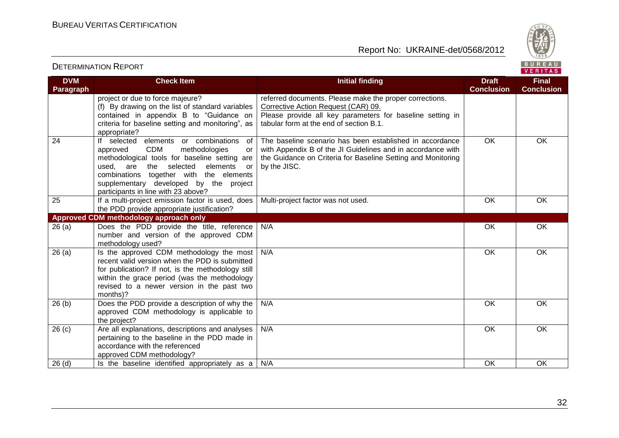Report No: UKRAINE-det/0568/2012



#### VERITAS **DVM Check Item Initial finding Draft Final Conclusion Conclusion Paragraph** project or due to force majeure? referred documents. Please make the proper corrections. (f) By drawing on the list of standard variables Corrective Action Request (CAR) 09. contained in appendix B to "Guidance on Please provide all key parameters for baseline setting in criteria for baseline setting and monitoring", as tabular form at the end of section B.1. appropriate? 24 If selected elements or combinations of The baseline scenario has been established in accordance OK OK approved CDM methodologies or with Appendix B of the JI Guidelines and in accordance with methodological tools for baseline setting are the Guidance on Criteria for Baseline Setting and Monitoring used, are the selected elements or by the JISC. combinations together with the elements supplementary developed by the project participants in line with 23 above? 25 If a multi-project emission factor is used, does Multi-project factor was not used. **OK OK OK** the PDD provide appropriate justification? **Approved CDM methodology approach only** 26 (a) Does the PDD provide the title, reference N/A OK OK number and version of the approved CDM methodology used?  $26$  (a) Is the approved CDM methodology the most N/A OK OK recent valid version when the PDD is submitted for publication? If not, is the methodology still within the grace period (was the methodology revised to a newer version in the past two months)? 26 (b) Does the PDD provide a description of why the N/A OK OK approved CDM methodology is applicable to the project? 26 (c) Are all explanations, descriptions and analyses N/A OK OK pertaining to the baseline in the PDD made in accordance with the referenced approved CDM methodology? 26 (d) Is the baseline identified appropriately as a N/A OK OK OK OK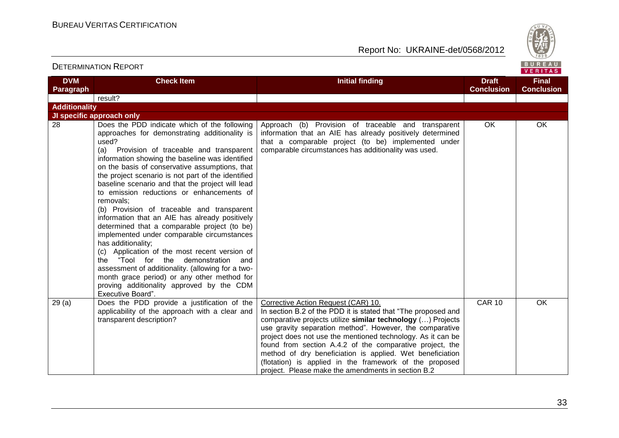Report No: UKRAINE-det/0568/2012



**Final Conclusion**

# BUREAU<br>VERITAS

**Conclusion**

| <b>DVM</b><br>Paragraph | <b>Check Item</b>                                                                                                                                                                                                                                                                                                                                                                                                                                                                                                                                                                                                                                                                                                                                                                                                                                      | <b>Initial finding</b>                                                                                                                                                                                                          | <b>Draft</b><br>Conclusi |
|-------------------------|--------------------------------------------------------------------------------------------------------------------------------------------------------------------------------------------------------------------------------------------------------------------------------------------------------------------------------------------------------------------------------------------------------------------------------------------------------------------------------------------------------------------------------------------------------------------------------------------------------------------------------------------------------------------------------------------------------------------------------------------------------------------------------------------------------------------------------------------------------|---------------------------------------------------------------------------------------------------------------------------------------------------------------------------------------------------------------------------------|--------------------------|
|                         | result?                                                                                                                                                                                                                                                                                                                                                                                                                                                                                                                                                                                                                                                                                                                                                                                                                                                |                                                                                                                                                                                                                                 |                          |
| <b>Additionality</b>    |                                                                                                                                                                                                                                                                                                                                                                                                                                                                                                                                                                                                                                                                                                                                                                                                                                                        |                                                                                                                                                                                                                                 |                          |
|                         | JI specific approach only                                                                                                                                                                                                                                                                                                                                                                                                                                                                                                                                                                                                                                                                                                                                                                                                                              |                                                                                                                                                                                                                                 |                          |
| 28                      | Does the PDD indicate which of the following<br>approaches for demonstrating additionality is<br>used?<br>Provision of traceable and transparent<br>(a)<br>information showing the baseline was identified<br>on the basis of conservative assumptions, that<br>the project scenario is not part of the identified<br>baseline scenario and that the project will lead<br>to emission reductions or enhancements of<br>removals;<br>(b) Provision of traceable and transparent<br>information that an AIE has already positively<br>determined that a comparable project (to be)<br>implemented under comparable circumstances<br>has additionality;<br>(c) Application of the most recent version of<br>"Tool for the demonstration<br>the<br>and<br>assessment of additionality. (allowing for a two-<br>month araco pariad) or any other mothod for | Approach (b) Provision of traceable and transparent<br>information that an AIE has already positively determined<br>that a comparable project (to be) implemented under<br>comparable circumstances has additionality was used. | OK.                      |

|        | JI specific approach only                                                                                                                                                                                                                                                                                                                                                                                                                                                                                                                                                                                                                                                                                                                                                                                                                                                                                                     |                                                                                                                                                                                                                                                                                                                                                                                                                                                                                                                                          |               |           |
|--------|-------------------------------------------------------------------------------------------------------------------------------------------------------------------------------------------------------------------------------------------------------------------------------------------------------------------------------------------------------------------------------------------------------------------------------------------------------------------------------------------------------------------------------------------------------------------------------------------------------------------------------------------------------------------------------------------------------------------------------------------------------------------------------------------------------------------------------------------------------------------------------------------------------------------------------|------------------------------------------------------------------------------------------------------------------------------------------------------------------------------------------------------------------------------------------------------------------------------------------------------------------------------------------------------------------------------------------------------------------------------------------------------------------------------------------------------------------------------------------|---------------|-----------|
| 28     | Does the PDD indicate which of the following<br>approaches for demonstrating additionality is<br>used?<br>Provision of traceable and transparent<br>(a)<br>information showing the baseline was identified<br>on the basis of conservative assumptions, that<br>the project scenario is not part of the identified<br>baseline scenario and that the project will lead<br>to emission reductions or enhancements of<br>removals:<br>(b) Provision of traceable and transparent<br>information that an AIE has already positively<br>determined that a comparable project (to be)<br>implemented under comparable circumstances<br>has additionality;<br>Application of the most recent version of<br>(C) -<br>"Tool for the demonstration<br>the<br>and<br>assessment of additionality. (allowing for a two-<br>month grace period) or any other method for<br>proving additionality approved by the CDM<br>Executive Board". | Approach (b) Provision of traceable and transparent<br>information that an AIE has already positively determined<br>that a comparable project (to be) implemented under<br>comparable circumstances has additionality was used.                                                                                                                                                                                                                                                                                                          | OK            | <b>OK</b> |
| 29 (a) | Does the PDD provide a justification of the<br>applicability of the approach with a clear and<br>transparent description?                                                                                                                                                                                                                                                                                                                                                                                                                                                                                                                                                                                                                                                                                                                                                                                                     | Corrective Action Request (CAR) 10.<br>In section B.2 of the PDD it is stated that "The proposed and<br>comparative projects utilize similar technology () Projects<br>use gravity separation method". However, the comparative<br>project does not use the mentioned technology. As it can be<br>found from section A.4.2 of the comparative project, the<br>method of dry beneficiation is applied. Wet beneficiation<br>(flotation) is applied in the framework of the proposed<br>project. Please make the amendments in section B.2 | <b>CAR 10</b> | <b>OK</b> |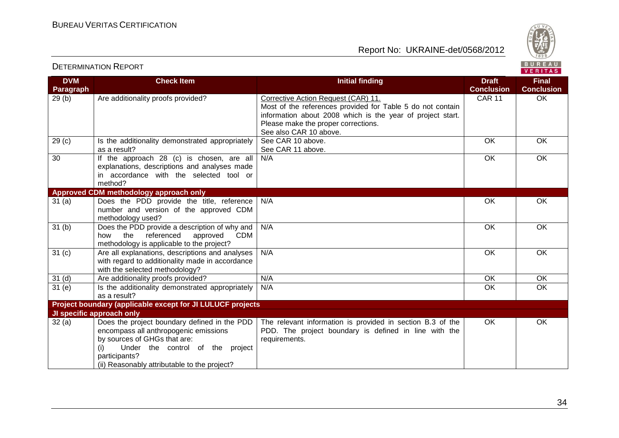

#### VERITAS **DVM Check Item Initial finding Draft Final Conclusion Conclusion Paragraph** 29 (b) Are additionality proofs provided? Corrective Action Request (CAR) 11. CAR 11 OK Most of the references provided for Table 5 do not contain information about 2008 which is the year of project start. Please make the proper corrections. See also CAR 10 above. 29 (c) Is the additionality demonstrated appropriately See CAR 10 above OK OK as a result? See CAR 11 above. 30 If the approach 28 (c) is chosen, are all N/A OK OK explanations, descriptions and analyses made in accordance with the selected tool or method? **Approved CDM methodology approach only** 31 (a) Does the PDD provide the title, reference N/A OK OK number and version of the approved CDM methodology used? 31 (b) Does the PDD provide a description of why and N/A OK OK how the referenced approved CDM methodology is applicable to the project? 31 (c) Are all explanations, descriptions and analyses N/A OK OK with regard to additionality made in accordance with the selected methodology? 31 (d) Are additionality proofs provided? N/A OK OK OK OK 31 (e) Is the additionality demonstrated appropriately N/A OK OK as a result? **Project boundary (applicable except for JI LULUCF projects JI specific approach only** 32 (a) Does the project boundary defined in the PDD The relevant information is provided in section B.3 of the OK OKencompass all anthropogenic emissions PDD. The project boundary is defined in line with the by sources of GHGs that are: requirements. (i) Under the control of the project participants? (ii) Reasonably attributable to the project?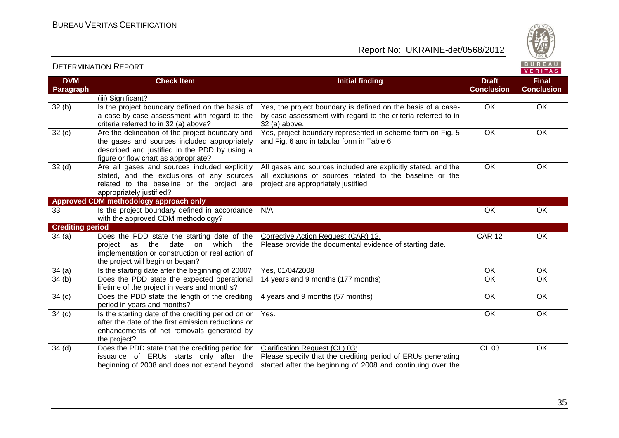

| <b>DVM</b><br><b>Paragraph</b> | <b>Check Item</b>                                                                                                                                                                        | <b>Initial finding</b>                                                                                                                                           | <b>Draft</b><br><b>Conclusion</b> | <b>Final</b><br><b>Conclusion</b> |
|--------------------------------|------------------------------------------------------------------------------------------------------------------------------------------------------------------------------------------|------------------------------------------------------------------------------------------------------------------------------------------------------------------|-----------------------------------|-----------------------------------|
|                                | (iii) Significant?                                                                                                                                                                       |                                                                                                                                                                  |                                   |                                   |
| 32(b)                          | Is the project boundary defined on the basis of<br>a case-by-case assessment with regard to the<br>criteria referred to in 32 (a) above?                                                 | Yes, the project boundary is defined on the basis of a case-<br>by-case assessment with regard to the criteria referred to in<br>32 (a) above.                   | <b>OK</b>                         | OK                                |
| 32(c)                          | Are the delineation of the project boundary and<br>the gases and sources included appropriately<br>described and justified in the PDD by using a<br>figure or flow chart as appropriate? | Yes, project boundary represented in scheme form on Fig. 5<br>and Fig. 6 and in tabular form in Table 6.                                                         | <b>OK</b>                         | OK                                |
| 32 <sub>(d)</sub>              | Are all gases and sources included explicitly<br>stated, and the exclusions of any sources<br>related to the baseline or the project are<br>appropriately justified?                     | All gases and sources included are explicitly stated, and the<br>all exclusions of sources related to the baseline or the<br>project are appropriately justified | <b>OK</b>                         | OK                                |
|                                | Approved CDM methodology approach only                                                                                                                                                   |                                                                                                                                                                  |                                   |                                   |
| 33                             | Is the project boundary defined in accordance<br>with the approved CDM methodology?                                                                                                      | N/A                                                                                                                                                              | OK                                | OK                                |
| <b>Crediting period</b>        |                                                                                                                                                                                          |                                                                                                                                                                  |                                   |                                   |
| 34(a)                          | Does the PDD state the starting date of the<br>the<br>date<br>on<br>which<br>project as<br>the<br>implementation or construction or real action of<br>the project will begin or began?   | Corrective Action Request (CAR) 12.<br>Please provide the documental evidence of starting date.                                                                  | <b>CAR 12</b>                     | OK                                |
| 34(a)                          | Is the starting date after the beginning of 2000?                                                                                                                                        | Yes, 01/04/2008                                                                                                                                                  | <b>OK</b>                         | <b>OK</b>                         |
| 34(b)                          | Does the PDD state the expected operational<br>lifetime of the project in years and months?                                                                                              | 14 years and 9 months (177 months)                                                                                                                               | <b>OK</b>                         | $\overline{OK}$                   |
| 34(c)                          | Does the PDD state the length of the crediting<br>period in years and months?                                                                                                            | 4 years and 9 months (57 months)                                                                                                                                 | OK                                | OK                                |
| 34(c)                          | Is the starting date of the crediting period on or<br>after the date of the first emission reductions or<br>enhancements of net removals generated by<br>the project?                    | Yes.                                                                                                                                                             | OK                                | $\overline{OK}$                   |
| 34 <sub>(d)</sub>              | Does the PDD state that the crediting period for<br>issuance of ERUs starts only after the<br>beginning of 2008 and does not extend beyond                                               | Clarification Request (CL) 03:<br>Please specify that the crediting period of ERUs generating<br>started after the beginning of 2008 and continuing over the     | <b>CL 03</b>                      | OK                                |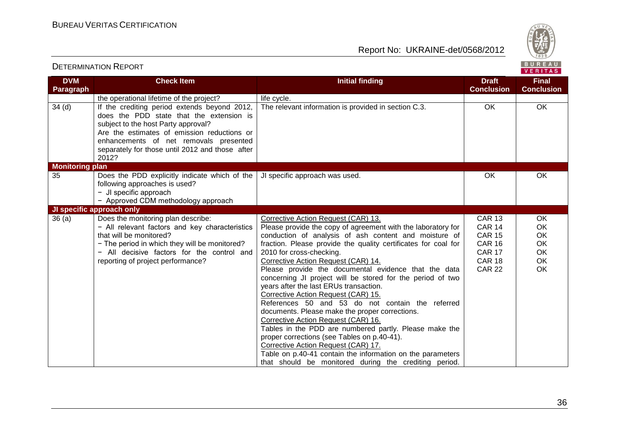

| <b>DVM</b>             | <b>Check Item</b>                                                                                                                                                                                                                                                           | <b>Initial finding</b>                                                                                                                                                                                                                                                                                                                                                                                                                                                                                                                                                                                                                                                                                                                                                                                                                                                                                                       | <b>Draft</b>                                                                                                        | <br><b>Final</b>                                            |
|------------------------|-----------------------------------------------------------------------------------------------------------------------------------------------------------------------------------------------------------------------------------------------------------------------------|------------------------------------------------------------------------------------------------------------------------------------------------------------------------------------------------------------------------------------------------------------------------------------------------------------------------------------------------------------------------------------------------------------------------------------------------------------------------------------------------------------------------------------------------------------------------------------------------------------------------------------------------------------------------------------------------------------------------------------------------------------------------------------------------------------------------------------------------------------------------------------------------------------------------------|---------------------------------------------------------------------------------------------------------------------|-------------------------------------------------------------|
| Paragraph              |                                                                                                                                                                                                                                                                             |                                                                                                                                                                                                                                                                                                                                                                                                                                                                                                                                                                                                                                                                                                                                                                                                                                                                                                                              | <b>Conclusion</b>                                                                                                   | <b>Conclusion</b>                                           |
|                        | the operational lifetime of the project?                                                                                                                                                                                                                                    | life cycle.                                                                                                                                                                                                                                                                                                                                                                                                                                                                                                                                                                                                                                                                                                                                                                                                                                                                                                                  |                                                                                                                     |                                                             |
| 34 <sub>(d)</sub>      | If the crediting period extends beyond 2012,<br>does the PDD state that the extension is<br>subject to the host Party approval?<br>Are the estimates of emission reductions or<br>enhancements of net removals presented<br>separately for those until 2012 and those after | The relevant information is provided in section C.3.                                                                                                                                                                                                                                                                                                                                                                                                                                                                                                                                                                                                                                                                                                                                                                                                                                                                         | <b>OK</b>                                                                                                           | OK                                                          |
|                        | 2012?                                                                                                                                                                                                                                                                       |                                                                                                                                                                                                                                                                                                                                                                                                                                                                                                                                                                                                                                                                                                                                                                                                                                                                                                                              |                                                                                                                     |                                                             |
| <b>Monitoring plan</b> |                                                                                                                                                                                                                                                                             |                                                                                                                                                                                                                                                                                                                                                                                                                                                                                                                                                                                                                                                                                                                                                                                                                                                                                                                              |                                                                                                                     |                                                             |
| 35                     | Does the PDD explicitly indicate which of the<br>following approaches is used?<br>- JI specific approach<br>- Approved CDM methodology approach                                                                                                                             | JI specific approach was used.                                                                                                                                                                                                                                                                                                                                                                                                                                                                                                                                                                                                                                                                                                                                                                                                                                                                                               | OK                                                                                                                  | <b>OK</b>                                                   |
|                        | JI specific approach only                                                                                                                                                                                                                                                   |                                                                                                                                                                                                                                                                                                                                                                                                                                                                                                                                                                                                                                                                                                                                                                                                                                                                                                                              |                                                                                                                     |                                                             |
| 36(a)                  | Does the monitoring plan describe:<br>- All relevant factors and key characteristics<br>that will be monitored?<br>- The period in which they will be monitored?<br>- All decisive factors for the control and<br>reporting of project performance?                         | Corrective Action Request (CAR) 13.<br>Please provide the copy of agreement with the laboratory for<br>conduction of analysis of ash content and moisture of<br>fraction. Please provide the quality certificates for coal for<br>2010 for cross-checking.<br>Corrective Action Request (CAR) 14.<br>Please provide the documental evidence that the data<br>concerning JI project will be stored for the period of two<br>years after the last ERUs transaction.<br>Corrective Action Request (CAR) 15.<br>References 50 and 53 do not contain the referred<br>documents. Please make the proper corrections.<br>Corrective Action Request (CAR) 16.<br>Tables in the PDD are numbered partly. Please make the<br>proper corrections (see Tables on p.40-41).<br>Corrective Action Request (CAR) 17.<br>Table on p.40-41 contain the information on the parameters<br>that should be monitored during the crediting period. | <b>CAR 13</b><br><b>CAR 14</b><br><b>CAR 15</b><br><b>CAR 16</b><br><b>CAR 17</b><br><b>CAR 18</b><br><b>CAR 22</b> | OK<br>OK<br>OK<br><b>OK</b><br><b>OK</b><br>OK<br><b>OK</b> |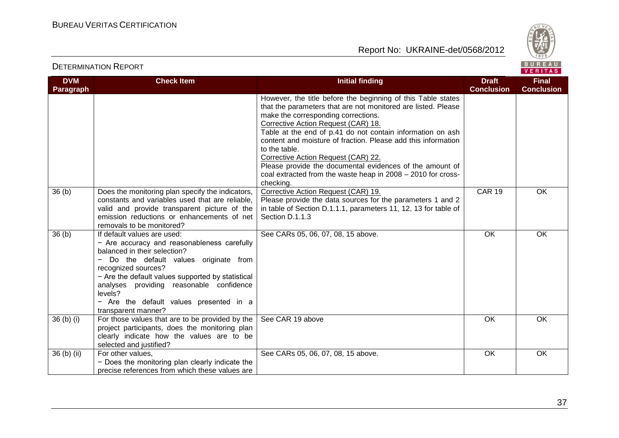



| <b>DVM</b><br>Paragraph | <b>Check Item</b>                                                                                                                                                                                                                                                                                                                                       | <b>Initial finding</b>                                                                                                                                                                                                                                                                                                                                                                                                                                                                                                                      | <b>Draft</b><br><b>Conclusion</b> | <b>Final</b><br><b>Conclusion</b> |
|-------------------------|---------------------------------------------------------------------------------------------------------------------------------------------------------------------------------------------------------------------------------------------------------------------------------------------------------------------------------------------------------|---------------------------------------------------------------------------------------------------------------------------------------------------------------------------------------------------------------------------------------------------------------------------------------------------------------------------------------------------------------------------------------------------------------------------------------------------------------------------------------------------------------------------------------------|-----------------------------------|-----------------------------------|
|                         |                                                                                                                                                                                                                                                                                                                                                         | However, the title before the beginning of this Table states<br>that the parameters that are not monitored are listed. Please<br>make the corresponding corrections.<br>Corrective Action Request (CAR) 18.<br>Table at the end of p.41 do not contain information on ash<br>content and moisture of fraction. Please add this information<br>to the table.<br>Corrective Action Request (CAR) 22.<br>Please provide the documental evidences of the amount of<br>coal extracted from the waste heap in 2008 - 2010 for cross-<br>checking. |                                   |                                   |
| 36(b)                   | Does the monitoring plan specify the indicators,<br>constants and variables used that are reliable.<br>valid and provide transparent picture of the<br>emission reductions or enhancements of net<br>removals to be monitored?                                                                                                                          | Corrective Action Request (CAR) 19.<br>Please provide the data sources for the parameters 1 and 2<br>in table of Section D.1.1.1, parameters 11, 12, 13 for table of<br>Section D.1.1.3                                                                                                                                                                                                                                                                                                                                                     | <b>CAR 19</b>                     | <b>OK</b>                         |
| 36(b)                   | If default values are used:<br>- Are accuracy and reasonableness carefully<br>balanced in their selection?<br>Do the default values originate from<br>recognized sources?<br>- Are the default values supported by statistical<br>analyses providing reasonable confidence<br>levels?<br>- Are the default values presented in a<br>transparent manner? | See CARs 05, 06, 07, 08, 15 above.                                                                                                                                                                                                                                                                                                                                                                                                                                                                                                          | <b>OK</b>                         | <b>OK</b>                         |
| $36(b)$ (i)             | For those values that are to be provided by the<br>project participants, does the monitoring plan<br>clearly indicate how the values are to be<br>selected and justified?                                                                                                                                                                               | See CAR 19 above                                                                                                                                                                                                                                                                                                                                                                                                                                                                                                                            | <b>OK</b>                         | <b>OK</b>                         |
| 36 (b) (ii)             | For other values,<br>- Does the monitoring plan clearly indicate the<br>precise references from which these values are                                                                                                                                                                                                                                  | See CARs 05, 06, 07, 08, 15 above.                                                                                                                                                                                                                                                                                                                                                                                                                                                                                                          | OK                                | OK                                |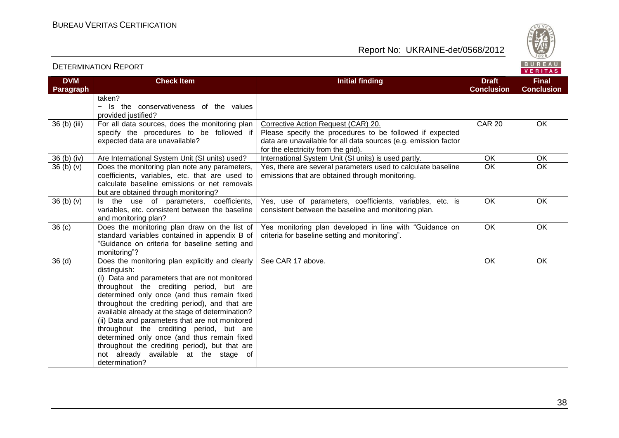



VERITAS

#### **DVM Paragraph Check Item Initial finding Draft Conclusion Final Conclusion** taken? − Is the conservativeness of the values provided justified? 36 (b) (iii) For all data sources, does the monitoring plan specify the procedures to be followed if expected data are unavailable? Corrective Action Request (CAR) 20. Please specify the procedures to be followed if expected data are unavailable for all data sources (e.g. emission factor for the electricity from the grid). CAR 20 OK 36 (b) (iv) Are International System Unit (SI units) used? International System Unit (SI units) is used partly. OK CK CK 36 (b) (v)  $\Box$  Does the monitoring plan note any parameters, coefficients, variables, etc. that are used to calculate baseline emissions or net removals but are obtained through monitoring? Yes, there are several parameters used to calculate baseline emissions that are obtained through monitoring. OK OK  $36$  (b) (v)  $\overline{\phantom{a}}$  Is the use of parameters, coefficients, variables, etc. consistent between the baseline and monitoring plan? Yes, use of parameters, coefficients, variables, etc. is consistent between the baseline and monitoring plan. OK OK 36 (c) Does the monitoring plan draw on the list of standard variables contained in appendix B of "Guidance on criteria for baseline setting and monitoring"? Yes monitoring plan developed in line with "Guidance on criteria for baseline setting and monitoring". OK OK 36 (d) Does the monitoring plan explicitly and clearly distinguish: (i) Data and parameters that are not monitored throughout the crediting period, but are determined only once (and thus remain fixed throughout the crediting period), and that are available already at the stage of determination? (ii) Data and parameters that are not monitored throughout the crediting period, but are determined only once (and thus remain fixed throughout the crediting period), but that are not already available at the stage of determination? See CAR 17 above. OK OK OK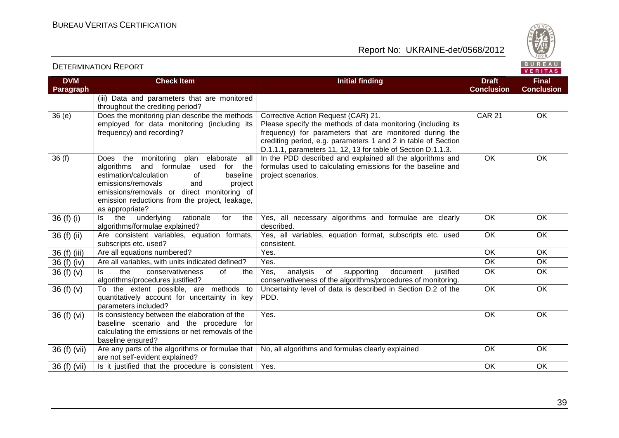Report No: UKRAINE-det/0568/2012



# BUREAU<br>VERITAS

| <b>DVM</b><br><b>Paragraph</b> | <b>Check Item</b>                                                                                                                                                                                                                                                                              | <b>Initial finding</b>                                                                                                                                                                                                                                                                          | <b>Draft</b><br><b>Conclusion</b> | <b>Final</b><br><b>Conclusion</b> |
|--------------------------------|------------------------------------------------------------------------------------------------------------------------------------------------------------------------------------------------------------------------------------------------------------------------------------------------|-------------------------------------------------------------------------------------------------------------------------------------------------------------------------------------------------------------------------------------------------------------------------------------------------|-----------------------------------|-----------------------------------|
|                                | (iii) Data and parameters that are monitored<br>throughout the crediting period?                                                                                                                                                                                                               |                                                                                                                                                                                                                                                                                                 |                                   |                                   |
| 36(e)                          | Does the monitoring plan describe the methods<br>employed for data monitoring (including its<br>frequency) and recording?                                                                                                                                                                      | Corrective Action Request (CAR) 21.<br>Please specify the methods of data monitoring (including its<br>frequency) for parameters that are monitored during the<br>crediting period, e.g. parameters 1 and 2 in table of Section<br>D.1.1.1, parameters 11, 12, 13 for table of Section D.1.1.3. | <b>CAR 21</b>                     | OK                                |
| 36(f)                          | Does the monitoring plan elaborate<br>all<br>and formulae used<br>algorithms<br>for the<br>estimation/calculation<br>baseline<br>0f<br>emissions/removals<br>and<br>project<br>emissions/removals or direct monitoring of<br>emission reductions from the project, leakage,<br>as appropriate? | In the PDD described and explained all the algorithms and<br>formulas used to calculating emissions for the baseline and<br>project scenarios.                                                                                                                                                  | $\overline{OK}$                   | $\overline{OK}$                   |
| 36 $(f)$ $(i)$                 | the<br>underlying<br>rationale<br>for<br>the<br>ls.<br>algorithms/formulae explained?                                                                                                                                                                                                          | Yes, all necessary algorithms and formulae are clearly<br>described.                                                                                                                                                                                                                            | OK                                | OK                                |
| $36(f)$ (ii)                   | Are consistent variables, equation formats,<br>subscripts etc. used?                                                                                                                                                                                                                           | Yes, all variables, equation format, subscripts etc. used<br>consistent.                                                                                                                                                                                                                        | $\overline{OK}$                   | OK                                |
| 36 (f) (iii)                   | Are all equations numbered?                                                                                                                                                                                                                                                                    | Yes.                                                                                                                                                                                                                                                                                            | OK                                | OK                                |
| 36 (f) (iv)                    | Are all variables, with units indicated defined?                                                                                                                                                                                                                                               | Yes.                                                                                                                                                                                                                                                                                            | OK                                | OK                                |
| 36 $(f)(v)$                    | the<br>conservativeness<br>of<br>ls.<br>the<br>algorithms/procedures justified?                                                                                                                                                                                                                | analysis<br>of<br>Yes,<br>supporting<br>document<br>justified<br>conservativeness of the algorithms/procedures of monitoring.                                                                                                                                                                   | OK                                | OK                                |
| 36 $(f)(v)$                    | To the extent possible, are methods to<br>quantitatively account for uncertainty in key<br>parameters included?                                                                                                                                                                                | Uncertainty level of data is described in Section D.2 of the<br>PDD.                                                                                                                                                                                                                            | $\overline{OK}$                   | OK                                |
| 36 (f) (vi)                    | Is consistency between the elaboration of the<br>baseline scenario and the procedure for<br>calculating the emissions or net removals of the<br>baseline ensured?                                                                                                                              | Yes.                                                                                                                                                                                                                                                                                            | OK                                | OK                                |
| 36 (f) (vii)                   | Are any parts of the algorithms or formulae that<br>are not self-evident explained?                                                                                                                                                                                                            | No, all algorithms and formulas clearly explained                                                                                                                                                                                                                                               | OK                                | OK                                |
| 36 (f) (vii)                   | Is it justified that the procedure is consistent                                                                                                                                                                                                                                               | Yes.                                                                                                                                                                                                                                                                                            | OK                                | <b>OK</b>                         |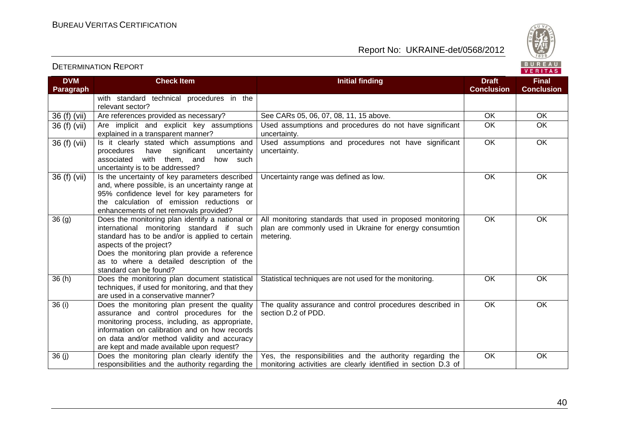



VERITAS

#### **DVM Paragraph Check Item Initial finding Draft Conclusion Final Conclusion** with standard technical procedures in the relevant sector?<br>Are references provided as necessary? 36 (f) (vii) Are references provided as necessary? See CARs 05, 06, 07, 08, 11, 15 above. OK OK OK 36 (f) (vii) Are implicit and explicit key assumptions explained in a transparent manner? Used assumptions and procedures do not have significant uncertainty. OK OK  $36$  (f) (vii)  $\left| \begin{array}{cc} \text{Is} & \text{it clearly stated which assumptions and}\\ \text{procedures} & \text{have} & \text{sinification} \end{array} \right|$ procedures have significant associated with them, and how such uncertainty is to be addressed? Used assumptions and procedures not have significant uncertainty. OK OK 36 (f) (vii) Is the uncertainty of key parameters described and, where possible, is an uncertainty range at 95% confidence level for key parameters for the calculation of emission reductions or enhancements of net removals provided? Uncertainty range was defined as low. 
<br>
OK OK OK 36 (g) Does the monitoring plan identify a national or international monitoring standard if such standard has to be and/or is applied to certain aspects of the project? Does the monitoring plan provide a reference as to where a detailed description of the standard can be found? All monitoring standards that used in proposed monitoring plan are commonly used in Ukraine for energy consumtion metering. OK OK 36 (h) Does the monitoring plan document statistical techniques, if used for monitoring, and that they are used in a conservative manner? Statistical techniques are not used for the monitoring. OK OK OK 36 (i) Does the monitoring plan present the quality assurance and control procedures for the monitoring process, including, as appropriate, information on calibration and on how records on data and/or method validity and accuracy are kept and made available upon request? The quality assurance and control procedures described in section D.2 of PDD. OK OK 36 (j) Does the monitoring plan clearly identify the responsibilities and the authority regarding the Yes, the responsibilities and the authority regarding the monitoring activities are clearly identified in section D.3 of OK OK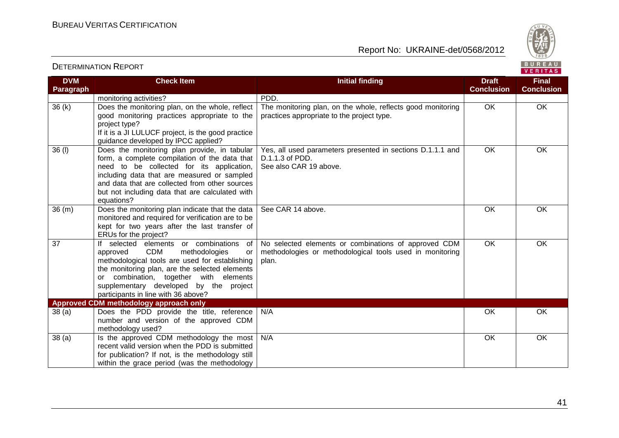

#### VERITAS **DVM Check Item Initial finding Draft Final Paragraph Conclusion Conclusion** monitoring activities? PDD.  $36 (k)$  Does the monitoring plan, on the whole, reflect The monitoring plan, on the whole, reflects good monitoring OK OK good monitoring practices appropriate to the practices appropriate to the project type. project type? If it is a JI LULUCF project, is the good practice guidance developed by IPCC applied? 36 (l) Does the monitoring plan provide, in tabular Yes, all used parameters presented in sections D.1.1.1 and OK OK form, a complete compilation of the data that D.1.1.3 of PDD. need to be collected for its application, See also CAR 19 above. including data that are measured or sampled and data that are collected from other sources but not including data that are calculated with equations? See CAR 14 above. OK OK OK 36 (m) Does the monitoring plan indicate that the data monitored and required for verification are to be kept for two years after the last transfer of ERUs for the project? 37 If selected elements or combinations of No selected elements or combinations of approved CDM OK OK approved CDM methodologies or methodologies or methodological tools used in monitoring methodological tools are used for establishing plan. the monitoring plan, are the selected elements or combination, together with elements supplementary developed by the project participants in line with 36 above? **Approved CDM methodology approach only** 38 (a) Does the PDD provide the title, reference N/A OK OK number and version of the approved CDM methodology used? 38 (a) Is the approved CDM methodology the most N/A OK OKrecent valid version when the PDD is submitted for publication? If not, is the methodology still within the grace period (was the methodology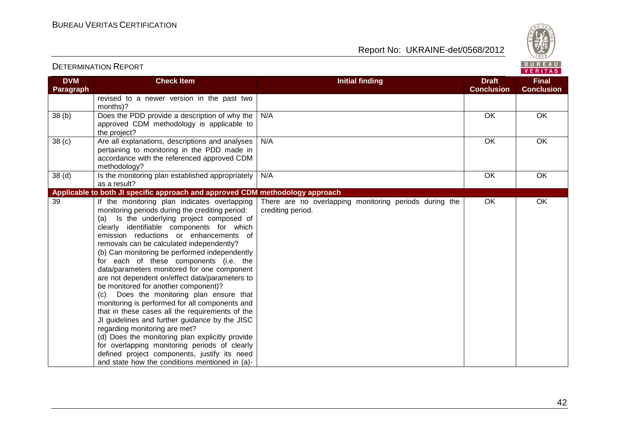



| <b>DVM</b><br><b>Paragraph</b> | <b>Check Item</b>                                                                                                                                                                                                                                                                                                                                                                                                                                                                                                                                                                                                                                                                                                                                                                                                                                                                                                                                                    | <b>Initial finding</b>                                                      | <b>Draft</b><br><b>Conclusion</b> | <b>Final</b><br><b>Conclusion</b> |
|--------------------------------|----------------------------------------------------------------------------------------------------------------------------------------------------------------------------------------------------------------------------------------------------------------------------------------------------------------------------------------------------------------------------------------------------------------------------------------------------------------------------------------------------------------------------------------------------------------------------------------------------------------------------------------------------------------------------------------------------------------------------------------------------------------------------------------------------------------------------------------------------------------------------------------------------------------------------------------------------------------------|-----------------------------------------------------------------------------|-----------------------------------|-----------------------------------|
|                                | revised to a newer version in the past two<br>months)?                                                                                                                                                                                                                                                                                                                                                                                                                                                                                                                                                                                                                                                                                                                                                                                                                                                                                                               |                                                                             |                                   |                                   |
| $\overline{38}$ (b)            | Does the PDD provide a description of why the<br>approved CDM methodology is applicable to<br>the project?                                                                                                                                                                                                                                                                                                                                                                                                                                                                                                                                                                                                                                                                                                                                                                                                                                                           | N/A                                                                         | OK                                | OK                                |
| 38 <sub>(c)</sub>              | Are all explanations, descriptions and analyses<br>pertaining to monitoring in the PDD made in<br>accordance with the referenced approved CDM<br>methodology?                                                                                                                                                                                                                                                                                                                                                                                                                                                                                                                                                                                                                                                                                                                                                                                                        | N/A                                                                         | OK                                | OK                                |
| 38 <sub>(d)</sub>              | Is the monitoring plan established appropriately<br>as a result?                                                                                                                                                                                                                                                                                                                                                                                                                                                                                                                                                                                                                                                                                                                                                                                                                                                                                                     | N/A                                                                         | OK                                | OK                                |
|                                | Applicable to both JI specific approach and approved CDM methodology approach                                                                                                                                                                                                                                                                                                                                                                                                                                                                                                                                                                                                                                                                                                                                                                                                                                                                                        |                                                                             |                                   |                                   |
| 39                             | If the monitoring plan indicates overlapping<br>monitoring periods during the crediting period:<br>Is the underlying project composed of<br>(a)<br>clearly identifiable components for which<br>emission reductions or enhancements of<br>removals can be calculated independently?<br>(b) Can monitoring be performed independently<br>for each of these components (i.e. the<br>data/parameters monitored for one component<br>are not dependent on/effect data/parameters to<br>be monitored for another component)?<br>Does the monitoring plan ensure that<br>(c)<br>monitoring is performed for all components and<br>that in these cases all the requirements of the<br>JI guidelines and further guidance by the JISC<br>regarding monitoring are met?<br>(d) Does the monitoring plan explicitly provide<br>for overlapping monitoring periods of clearly<br>defined project components, justify its need<br>and state how the conditions mentioned in (a)- | There are no overlapping monitoring periods during the<br>crediting period. | OK                                | OK                                |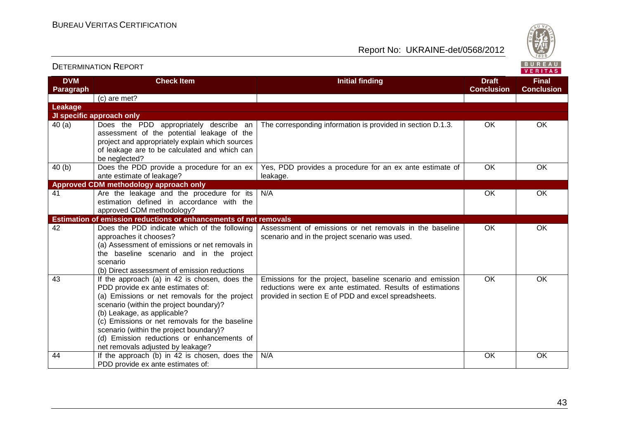

| <b>DETERMINATION REPORT</b> |                                                                                                                                                                                                                                                                                                                                                                                               |                                                                                                                                                                                | BUREAU<br><b>VERITAS</b>          |                                   |
|-----------------------------|-----------------------------------------------------------------------------------------------------------------------------------------------------------------------------------------------------------------------------------------------------------------------------------------------------------------------------------------------------------------------------------------------|--------------------------------------------------------------------------------------------------------------------------------------------------------------------------------|-----------------------------------|-----------------------------------|
| <b>DVM</b><br>Paragraph     | <b>Check Item</b>                                                                                                                                                                                                                                                                                                                                                                             | <b>Initial finding</b>                                                                                                                                                         | <b>Draft</b><br><b>Conclusion</b> | <b>Final</b><br><b>Conclusion</b> |
|                             | (c) are met?                                                                                                                                                                                                                                                                                                                                                                                  |                                                                                                                                                                                |                                   |                                   |
| Leakage                     |                                                                                                                                                                                                                                                                                                                                                                                               |                                                                                                                                                                                |                                   |                                   |
|                             | JI specific approach only                                                                                                                                                                                                                                                                                                                                                                     |                                                                                                                                                                                |                                   |                                   |
| 40(a)                       | Does the PDD appropriately describe an<br>assessment of the potential leakage of the<br>project and appropriately explain which sources<br>of leakage are to be calculated and which can<br>be neglected?                                                                                                                                                                                     | The corresponding information is provided in section D.1.3.                                                                                                                    | OK                                | OK                                |
| 40(b)                       | Does the PDD provide a procedure for an ex<br>ante estimate of leakage?                                                                                                                                                                                                                                                                                                                       | Yes, PDD provides a procedure for an ex ante estimate of<br>leakage.                                                                                                           | OK                                | OK                                |
|                             | Approved CDM methodology approach only                                                                                                                                                                                                                                                                                                                                                        |                                                                                                                                                                                |                                   |                                   |
| 41                          | Are the leakage and the procedure for its<br>estimation defined in accordance with the<br>approved CDM methodology?                                                                                                                                                                                                                                                                           | N/A                                                                                                                                                                            | <b>OK</b>                         | OK                                |
|                             | <b>Estimation of emission reductions or enhancements of net removals</b>                                                                                                                                                                                                                                                                                                                      |                                                                                                                                                                                |                                   |                                   |
| 42                          | Does the PDD indicate which of the following<br>approaches it chooses?<br>(a) Assessment of emissions or net removals in<br>the baseline scenario and in the project<br>scenario<br>(b) Direct assessment of emission reductions                                                                                                                                                              | Assessment of emissions or net removals in the baseline<br>scenario and in the project scenario was used.                                                                      | OK                                | OK                                |
| 43                          | If the approach (a) in 42 is chosen, does the<br>PDD provide ex ante estimates of:<br>(a) Emissions or net removals for the project<br>scenario (within the project boundary)?<br>(b) Leakage, as applicable?<br>(c) Emissions or net removals for the baseline<br>scenario (within the project boundary)?<br>(d) Emission reductions or enhancements of<br>net removals adjusted by leakage? | Emissions for the project, baseline scenario and emission<br>reductions were ex ante estimated. Results of estimations<br>provided in section E of PDD and excel spreadsheets. | OK                                | OK                                |
| 44                          | If the approach (b) in 42 is chosen, does the<br>PDD provide ex ante estimates of:                                                                                                                                                                                                                                                                                                            | N/A                                                                                                                                                                            | OK                                | <b>OK</b>                         |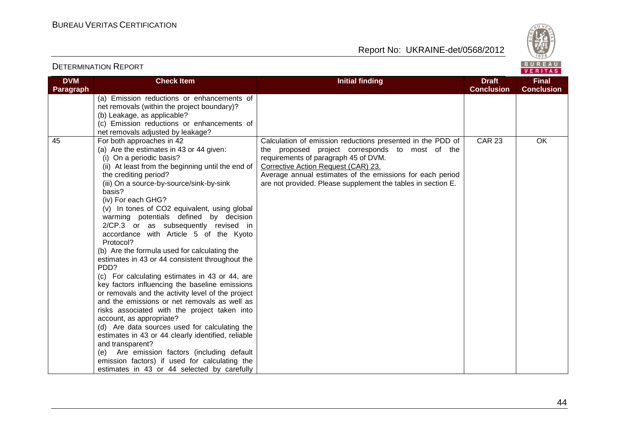

VERITAS

#### **DVM Paragraph Check Item Initial finding Draft Conclusion Final Conclusion** (a) Emission reductions or enhancements of net removals (within the project boundary)? (b) Leakage, as applicable? (c) Emission reductions or enhancements of net removals adjusted by leakage? 45 For both approaches in 42 (a) Are the estimates in 43 or 44 given: (i) On a periodic basis? (ii) At least from the beginning until the end of the crediting period? (iii) On a source-by-source/sink-by-sink basis? (iv) For each GHG? (v) In tones of CO2 equivalent, using global warming potentials defined by decision 2/CP.3 or as subsequently revised in accordance with Article 5 of the Kyoto Protocol? (b) Are the formula used for calculating the estimates in 43 or 44 consistent throughout the PD<sub>D?</sub> (c) For calculating estimates in 43 or 44, are key factors influencing the baseline emissions or removals and the activity level of the project and the emissions or net removals as well as risks associated with the project taken into account, as appropriate? (d) Are data sources used for calculating the estimates in 43 or 44 clearly identified, reliable and transparent? (e) Are emission factors (including default emission factors) if used for calculating the estimates in 43 or 44 selected by carefully Calculation of emission reductions presented in the PDD of the proposed project corresponds to most of the requirements of paragraph 45 of DVM. Corrective Action Request (CAR) 23. Average annual estimates of the emissions for each period are not provided. Please supplement the tables in section E. CAR 23 OK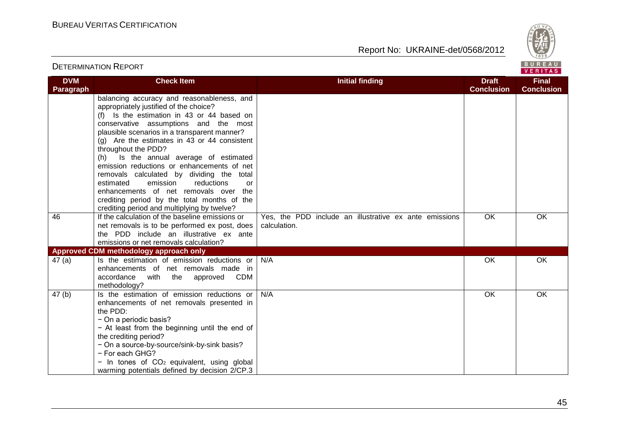Report No: UKRAINE-det/0568/2012



#### VERITAS **DVM Check Item Initial finding Draft Final Paragraph Conclusion Conclusion** balancing accuracy and reasonableness, and appropriately justified of the choice? (f) Is the estimation in 43 or 44 based on conservative assumptions and the most plausible scenarios in a transparent manner? (g) Are the estimates in  $43$  or  $44$  consistent throughout the PDD? (h) Is the annual average of estimated emission reductions or enhancements of net removals calculated by dividing the total estimated emission reductions or enhancements of net removals over the crediting period by the total months of the crediting period and multiplying by twelve? 46 If the calculation of the baseline emissions or OK OK Yes, the PDD include an illustrative ex ante emissions net removals is to be performed ex post, does calculation. the PDD include an illustrative ex ante emissions or net removals calculation? **Approved CDM methodology approach only** 47 (a) Is the estimation of emission reductions or N/A OK OK enhancements of net removals made in accordance with the approved CDM methodology? 47 (b) Is the estimation of emission reductions or N/A OK OKenhancements of net removals presented in the PDD: − On a periodic basis? − At least from the beginning until the end of the crediting period? − On a source-by-source/sink-by-sink basis? − For each GHG? − In tones of CO2 equivalent, using global warming potentials defined by decision 2/CP.3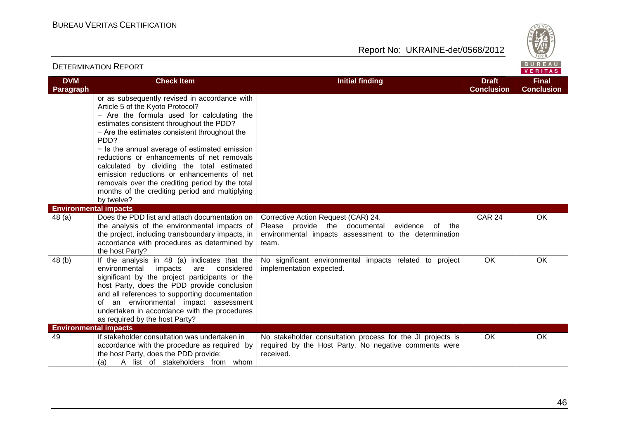

|                                | <b>DETERMINATION REPORT</b>                                                                                                                                                                                                                                                                                                                                                                                                                                                                                                                        |                                                                                                                                                                    |                                   | BUREAU<br><b>VERITAS</b>          |
|--------------------------------|----------------------------------------------------------------------------------------------------------------------------------------------------------------------------------------------------------------------------------------------------------------------------------------------------------------------------------------------------------------------------------------------------------------------------------------------------------------------------------------------------------------------------------------------------|--------------------------------------------------------------------------------------------------------------------------------------------------------------------|-----------------------------------|-----------------------------------|
| <b>DVM</b><br><b>Paragraph</b> | <b>Check Item</b>                                                                                                                                                                                                                                                                                                                                                                                                                                                                                                                                  | <b>Initial finding</b>                                                                                                                                             | <b>Draft</b><br><b>Conclusion</b> | <b>Final</b><br><b>Conclusion</b> |
|                                | or as subsequently revised in accordance with<br>Article 5 of the Kyoto Protocol?<br>- Are the formula used for calculating the<br>estimates consistent throughout the PDD?<br>- Are the estimates consistent throughout the<br>PDD?<br>- Is the annual average of estimated emission<br>reductions or enhancements of net removals<br>calculated by dividing the total estimated<br>emission reductions or enhancements of net<br>removals over the crediting period by the total<br>months of the crediting period and multiplying<br>by twelve? |                                                                                                                                                                    |                                   |                                   |
| <b>Environmental impacts</b>   |                                                                                                                                                                                                                                                                                                                                                                                                                                                                                                                                                    |                                                                                                                                                                    |                                   |                                   |
| 48(a)                          | Does the PDD list and attach documentation on<br>the analysis of the environmental impacts of<br>the project, including transboundary impacts, in<br>accordance with procedures as determined by<br>the host Party?                                                                                                                                                                                                                                                                                                                                | Corrective Action Request (CAR) 24.<br>Please<br>provide the documental<br>evidence<br>of<br>the<br>environmental impacts assessment to the determination<br>team. | <b>CAR 24</b>                     | OK                                |
| 48 (b)                         | If the analysis in 48 (a) indicates that the<br>environmental impacts<br>considered<br>are<br>significant by the project participants or the<br>host Party, does the PDD provide conclusion<br>and all references to supporting documentation<br>of an environmental impact assessment<br>undertaken in accordance with the procedures<br>as required by the host Party?                                                                                                                                                                           | No significant environmental impacts related to project<br>implementation expected.                                                                                | OK                                | OK                                |
| <b>Environmental impacts</b>   |                                                                                                                                                                                                                                                                                                                                                                                                                                                                                                                                                    |                                                                                                                                                                    |                                   |                                   |
| 49                             | If stakeholder consultation was undertaken in<br>accordance with the procedure as required by<br>the host Party, does the PDD provide:<br>A list of stakeholders from whom<br>(a)                                                                                                                                                                                                                                                                                                                                                                  | No stakeholder consultation process for the JI projects is<br>required by the Host Party. No negative comments were<br>received.                                   | OK                                | OK                                |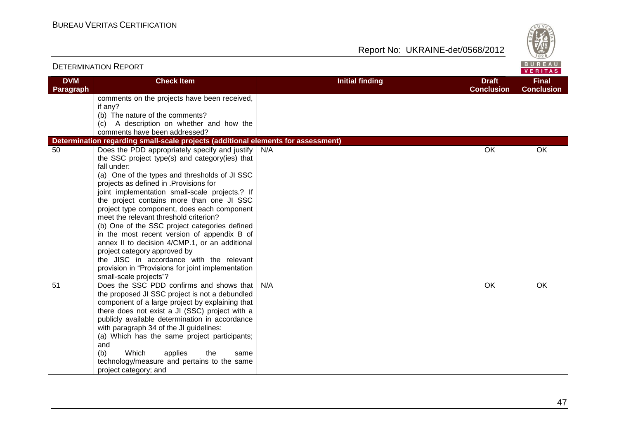Report No: UKRAINE-det/0568/2012



#### VERITAS **DVM Check Item Initial finding Draft Final Conclusion Conclusion Paragraph** comments on the projects have been received, if any? (b) The nature of the comments? (c) A description on whether and how the comments have been addressed? **Determination regarding small-scale projects (additional elements for assessment)** 50 Does the PDD appropriately specify and justify N/A OK OK the SSC project type(s) and category(ies) that fall under: (a) One of the types and thresholds of JI SSC projects as defined in .Provisions for joint implementation small-scale projects.? If the project contains more than one JI SSC project type component, does each component meet the relevant threshold criterion? (b) One of the SSC project categories defined in the most recent version of appendix B of annex II to decision 4/CMP.1, or an additional project category approved by the JISC in accordance with the relevant provision in "Provisions for joint implementation small-scale projects"? 51 Does the SSC PDD confirms and shows that N/A OK OKthe proposed JI SSC project is not a debundled component of a large project by explaining that there does not exist a JI (SSC) project with a publicly available determination in accordance with paragraph 34 of the JI guidelines: (a) Which has the same project participants; and (b) Which applies the same technology/measure and pertains to the same project category; and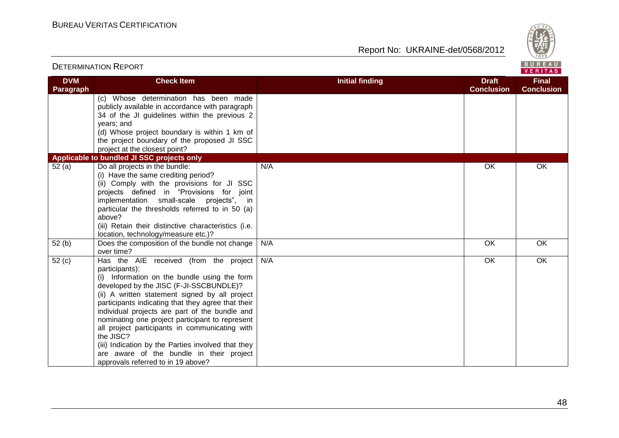

| BUREAU<br><b>DETERMINATION REPORT</b><br><b>VERITAS</b> |                                                                                                                                                                                                                                                                                                                                                                                                                                                                                                                                                                         |                        |                                   |                                   |
|---------------------------------------------------------|-------------------------------------------------------------------------------------------------------------------------------------------------------------------------------------------------------------------------------------------------------------------------------------------------------------------------------------------------------------------------------------------------------------------------------------------------------------------------------------------------------------------------------------------------------------------------|------------------------|-----------------------------------|-----------------------------------|
| <b>DVM</b><br>Paragraph                                 | <b>Check Item</b>                                                                                                                                                                                                                                                                                                                                                                                                                                                                                                                                                       | <b>Initial finding</b> | <b>Draft</b><br><b>Conclusion</b> | <b>Final</b><br><b>Conclusion</b> |
|                                                         | (c) Whose determination has been made<br>publicly available in accordance with paragraph<br>34 of the JI guidelines within the previous 2<br>years; and<br>(d) Whose project boundary is within 1 km of<br>the project boundary of the proposed JI SSC<br>project at the closest point?                                                                                                                                                                                                                                                                                 |                        |                                   |                                   |
|                                                         | Applicable to bundled JI SSC projects only                                                                                                                                                                                                                                                                                                                                                                                                                                                                                                                              |                        |                                   |                                   |
| 52(a)                                                   | Do all projects in the bundle:<br>(i) Have the same crediting period?<br>(ii) Comply with the provisions for JI SSC<br>projects defined in "Provisions for joint<br>implementation small-scale projects", in<br>particular the thresholds referred to in 50 (a)<br>above?<br>(iii) Retain their distinctive characteristics (i.e.<br>location, technology/measure etc.)?                                                                                                                                                                                                | N/A                    | OK                                | OK                                |
| 52(b)                                                   | Does the composition of the bundle not change<br>over time?                                                                                                                                                                                                                                                                                                                                                                                                                                                                                                             | N/A                    | OK                                | OK                                |
| 52(c)                                                   | Has the AIE received (from the project<br>participants):<br>(i) Information on the bundle using the form<br>developed by the JISC (F-JI-SSCBUNDLE)?<br>(ii) A written statement signed by all project<br>participants indicating that they agree that their<br>individual projects are part of the bundle and<br>nominating one project participant to represent<br>all project participants in communicating with<br>the JISC?<br>(iii) Indication by the Parties involved that they<br>are aware of the bundle in their project<br>approvals referred to in 19 above? | N/A                    | $\overline{OK}$                   | OK                                |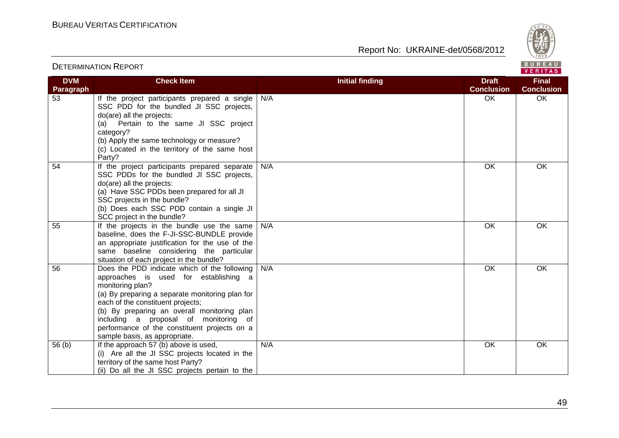

|                                |                                                                                                                                                                                                                                                                                                                                                                            |                        |                                   | <b>VERIIAS</b>                    |
|--------------------------------|----------------------------------------------------------------------------------------------------------------------------------------------------------------------------------------------------------------------------------------------------------------------------------------------------------------------------------------------------------------------------|------------------------|-----------------------------------|-----------------------------------|
| <b>DVM</b><br><b>Paragraph</b> | <b>Check Item</b>                                                                                                                                                                                                                                                                                                                                                          | <b>Initial finding</b> | <b>Draft</b><br><b>Conclusion</b> | <b>Final</b><br><b>Conclusion</b> |
| 53                             | If the project participants prepared a single<br>SSC PDD for the bundled JI SSC projects,<br>do(are) all the projects:<br>Pertain to the same JI SSC project<br>(a)<br>category?<br>(b) Apply the same technology or measure?<br>(c) Located in the territory of the same host<br>Party?                                                                                   | N/A                    | OK.                               | OK.                               |
| 54                             | If the project participants prepared separate<br>SSC PDDs for the bundled JI SSC projects,<br>do(are) all the projects:<br>(a) Have SSC PDDs been prepared for all JI<br>SSC projects in the bundle?<br>(b) Does each SSC PDD contain a single JI<br>SCC project in the bundle?                                                                                            | N/A                    | OK                                | OK                                |
| 55                             | If the projects in the bundle use the same<br>baseline, does the F-JI-SSC-BUNDLE provide<br>an appropriate justification for the use of the<br>same baseline considering the particular<br>situation of each project in the bundle?                                                                                                                                        | N/A                    | OK                                | OK                                |
| 56                             | Does the PDD indicate which of the following<br>approaches is used for establishing a<br>monitoring plan?<br>(a) By preparing a separate monitoring plan for<br>each of the constituent projects;<br>(b) By preparing an overall monitoring plan<br>including a proposal of monitoring of<br>performance of the constituent projects on a<br>sample basis, as appropriate. | N/A                    | OK                                | OK                                |
| 56(b)                          | If the approach 57 (b) above is used,<br>(i) Are all the JI SSC projects located in the<br>territory of the same host Party?<br>(ii) Do all the JI SSC projects pertain to the                                                                                                                                                                                             | N/A                    | OK                                | OK                                |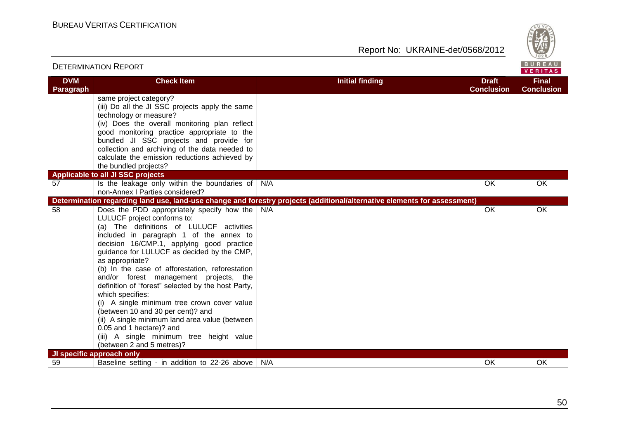

|                         | <b>DETERMINATION REPORT</b>                                                                                                                                                                                                                                                                                                                                                                                                                                                                                                                                                                                                                                                                                                          |                                                                                                                          |                                   | BUREAU<br>VERITAS                 |
|-------------------------|--------------------------------------------------------------------------------------------------------------------------------------------------------------------------------------------------------------------------------------------------------------------------------------------------------------------------------------------------------------------------------------------------------------------------------------------------------------------------------------------------------------------------------------------------------------------------------------------------------------------------------------------------------------------------------------------------------------------------------------|--------------------------------------------------------------------------------------------------------------------------|-----------------------------------|-----------------------------------|
| <b>DVM</b><br>Paragraph | <b>Check Item</b>                                                                                                                                                                                                                                                                                                                                                                                                                                                                                                                                                                                                                                                                                                                    | <b>Initial finding</b>                                                                                                   | <b>Draft</b><br><b>Conclusion</b> | <b>Final</b><br><b>Conclusion</b> |
|                         | same project category?<br>(iii) Do all the JI SSC projects apply the same<br>technology or measure?<br>(iv) Does the overall monitoring plan reflect<br>good monitoring practice appropriate to the<br>bundled JI SSC projects and provide for<br>collection and archiving of the data needed to<br>calculate the emission reductions achieved by<br>the bundled projects?                                                                                                                                                                                                                                                                                                                                                           |                                                                                                                          |                                   |                                   |
|                         | <b>Applicable to all JI SSC projects</b>                                                                                                                                                                                                                                                                                                                                                                                                                                                                                                                                                                                                                                                                                             |                                                                                                                          |                                   |                                   |
| 57                      | Is the leakage only within the boundaries of<br>non-Annex I Parties considered?                                                                                                                                                                                                                                                                                                                                                                                                                                                                                                                                                                                                                                                      | N/A                                                                                                                      | OK                                | OK                                |
|                         |                                                                                                                                                                                                                                                                                                                                                                                                                                                                                                                                                                                                                                                                                                                                      | Determination regarding land use, land-use change and forestry projects (additional/alternative elements for assessment) |                                   |                                   |
| 58                      | Does the PDD appropriately specify how the<br>LULUCF project conforms to:<br>(a) The definitions of LULUCF activities<br>included in paragraph 1 of the annex to<br>decision 16/CMP.1, applying good practice<br>guidance for LULUCF as decided by the CMP,<br>as appropriate?<br>(b) In the case of afforestation, reforestation<br>and/or forest management projects, the<br>definition of "forest" selected by the host Party,<br>which specifies:<br>(i) A single minimum tree crown cover value<br>(between 10 and 30 per cent)? and<br>(ii) A single minimum land area value (between<br>0.05 and 1 hectare)? and<br>(iii) A single minimum tree height value<br>(between 2 and 5 metres)?<br><b>JI specific approach only</b> | N/A                                                                                                                      | OK                                | OK                                |
| 59                      | Baseline setting - in addition to 22-26 above   N/A                                                                                                                                                                                                                                                                                                                                                                                                                                                                                                                                                                                                                                                                                  |                                                                                                                          | OK                                | <b>OK</b>                         |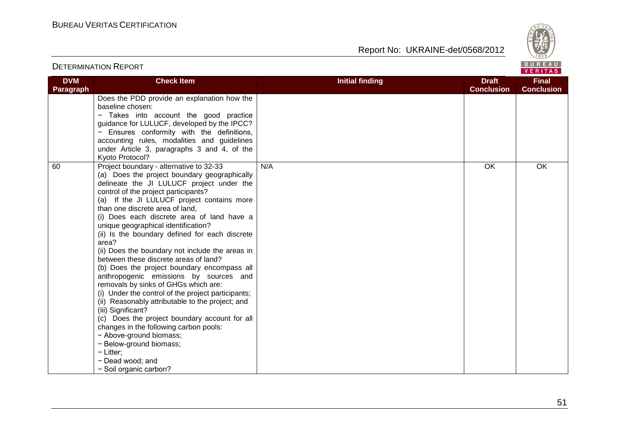

| <b>DVM</b> | <b>Check Item</b>                                                                                                                                                                                                                                                                                                                                                                                                                                                                                                                                                                                                                                                                                                                                                                                                                                                                                                                                                                        | <b>Initial finding</b> | <b>Draft</b>      | <b>Final</b>      |
|------------|------------------------------------------------------------------------------------------------------------------------------------------------------------------------------------------------------------------------------------------------------------------------------------------------------------------------------------------------------------------------------------------------------------------------------------------------------------------------------------------------------------------------------------------------------------------------------------------------------------------------------------------------------------------------------------------------------------------------------------------------------------------------------------------------------------------------------------------------------------------------------------------------------------------------------------------------------------------------------------------|------------------------|-------------------|-------------------|
| Paragraph  |                                                                                                                                                                                                                                                                                                                                                                                                                                                                                                                                                                                                                                                                                                                                                                                                                                                                                                                                                                                          |                        | <b>Conclusion</b> | <b>Conclusion</b> |
|            | Does the PDD provide an explanation how the<br>baseline chosen:<br>- Takes into account the good practice<br>guidance for LULUCF, developed by the IPCC?<br>Ensures conformity with the definitions,<br>accounting rules, modalities and guidelines<br>under Article 3, paragraphs 3 and 4, of the<br>Kyoto Protocol?                                                                                                                                                                                                                                                                                                                                                                                                                                                                                                                                                                                                                                                                    |                        |                   |                   |
| 60         | Project boundary - alternative to 32-33<br>(a) Does the project boundary geographically<br>delineate the JI LULUCF project under the<br>control of the project participants?<br>(a) If the JI LULUCF project contains more<br>than one discrete area of land,<br>(i) Does each discrete area of land have a<br>unique geographical identification?<br>(ii) Is the boundary defined for each discrete<br>area?<br>(ii) Does the boundary not include the areas in<br>between these discrete areas of land?<br>(b) Does the project boundary encompass all<br>anthropogenic emissions by sources and<br>removals by sinks of GHGs which are:<br>(i) Under the control of the project participants;<br>(ii) Reasonably attributable to the project; and<br>(iii) Significant?<br>(c) Does the project boundary account for all<br>changes in the following carbon pools:<br>- Above-ground biomass;<br>- Below-ground biomass;<br>$-$ Litter;<br>- Dead wood; and<br>- Soil organic carbon? | N/A                    | OK                | OK                |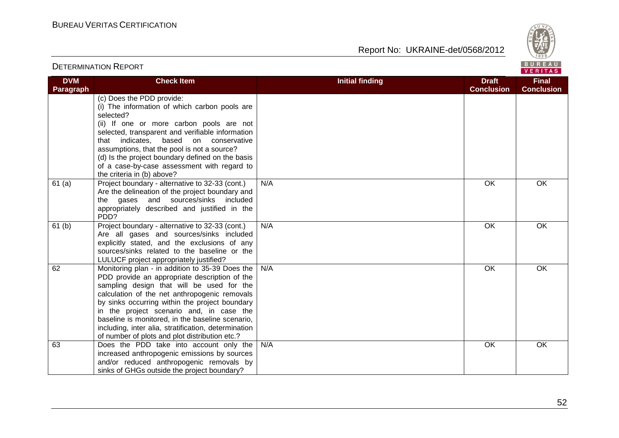

| BUREAU<br><b>DETERMINATION REPORT</b><br>VERITAS |                                                                                                                                                                                                                                                                                                                                                                                                                                                            |                        |                                   |                                   |
|--------------------------------------------------|------------------------------------------------------------------------------------------------------------------------------------------------------------------------------------------------------------------------------------------------------------------------------------------------------------------------------------------------------------------------------------------------------------------------------------------------------------|------------------------|-----------------------------------|-----------------------------------|
| <b>DVM</b><br>Paragraph                          | <b>Check Item</b>                                                                                                                                                                                                                                                                                                                                                                                                                                          | <b>Initial finding</b> | <b>Draft</b><br><b>Conclusion</b> | <b>Final</b><br><b>Conclusion</b> |
|                                                  | (c) Does the PDD provide:<br>(i) The information of which carbon pools are<br>selected?<br>(ii) If one or more carbon pools are not<br>selected, transparent and verifiable information<br>based on conservative<br>that indicates,<br>assumptions, that the pool is not a source?<br>(d) Is the project boundary defined on the basis<br>of a case-by-case assessment with regard to<br>the criteria in (b) above?                                        |                        |                                   |                                   |
| 61(a)                                            | Project boundary - alternative to 32-33 (cont.)<br>Are the delineation of the project boundary and<br>the gases and sources/sinks included<br>appropriately described and justified in the<br>PDD?                                                                                                                                                                                                                                                         | N/A                    | OK                                | OK                                |
| 61 <sub>(b)</sub>                                | Project boundary - alternative to 32-33 (cont.)<br>Are all gases and sources/sinks included<br>explicitly stated, and the exclusions of any<br>sources/sinks related to the baseline or the<br>LULUCF project appropriately justified?                                                                                                                                                                                                                     | N/A                    | OK                                | OK                                |
| 62                                               | Monitoring plan - in addition to 35-39 Does the<br>PDD provide an appropriate description of the<br>sampling design that will be used for the<br>calculation of the net anthropogenic removals<br>by sinks occurring within the project boundary<br>in the project scenario and, in case the<br>baseline is monitored, in the baseline scenario,<br>including, inter alia, stratification, determination<br>of number of plots and plot distribution etc.? | N/A                    | OK                                | OK                                |
| 63                                               | Does the PDD take into account only the<br>increased anthropogenic emissions by sources<br>and/or reduced anthropogenic removals by<br>sinks of GHGs outside the project boundary?                                                                                                                                                                                                                                                                         | N/A                    | OK                                | OK                                |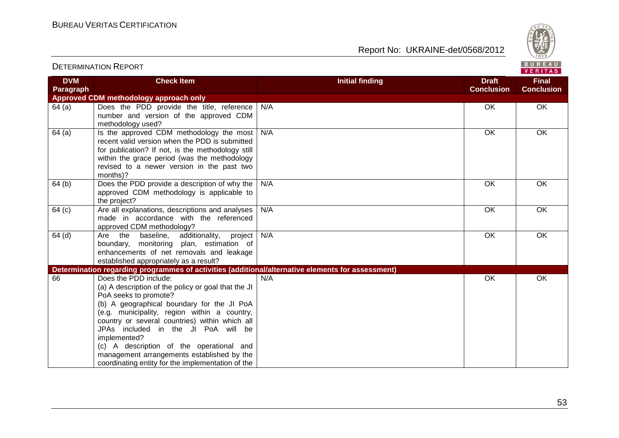

|                         |                                                                                                                                                                                                                                                                                                                                                                                                                                                             |                        |                                   | VERITAS                           |
|-------------------------|-------------------------------------------------------------------------------------------------------------------------------------------------------------------------------------------------------------------------------------------------------------------------------------------------------------------------------------------------------------------------------------------------------------------------------------------------------------|------------------------|-----------------------------------|-----------------------------------|
| <b>DVM</b><br>Paragraph | <b>Check Item</b>                                                                                                                                                                                                                                                                                                                                                                                                                                           | <b>Initial finding</b> | <b>Draft</b><br><b>Conclusion</b> | <b>Final</b><br><b>Conclusion</b> |
|                         | Approved CDM methodology approach only                                                                                                                                                                                                                                                                                                                                                                                                                      |                        |                                   |                                   |
| 64(a)                   | Does the PDD provide the title, reference<br>number and version of the approved CDM<br>methodology used?                                                                                                                                                                                                                                                                                                                                                    | N/A                    | OK                                | OK                                |
| 64(a)                   | Is the approved CDM methodology the most<br>recent valid version when the PDD is submitted<br>for publication? If not, is the methodology still<br>within the grace period (was the methodology<br>revised to a newer version in the past two<br>months)?                                                                                                                                                                                                   | N/A                    | OK                                | OK                                |
| 64 <sub>(b)</sub>       | Does the PDD provide a description of why the<br>approved CDM methodology is applicable to<br>the project?                                                                                                                                                                                                                                                                                                                                                  | N/A                    | OK                                | OK                                |
| 64 <sub>(c)</sub>       | Are all explanations, descriptions and analyses<br>made in accordance with the referenced<br>approved CDM methodology?                                                                                                                                                                                                                                                                                                                                      | N/A                    | OK                                | OK                                |
| $64$ (d)                | Are the baseline, additionality, project<br>boundary, monitoring plan, estimation of<br>enhancements of net removals and leakage<br>established appropriately as a result?                                                                                                                                                                                                                                                                                  | N/A                    | OK                                | OK                                |
|                         | Determination regarding programmes of activities (additional/alternative elements for assessment)                                                                                                                                                                                                                                                                                                                                                           |                        |                                   |                                   |
| 66                      | Does the PDD include:<br>(a) A description of the policy or goal that the JI<br>PoA seeks to promote?<br>(b) A geographical boundary for the JI PoA<br>(e.g. municipality, region within a country,<br>country or several countries) within which all<br>JPAs included in the JI PoA will be<br>implemented?<br>(c) A description of the operational and<br>management arrangements established by the<br>coordinating entity for the implementation of the | N/A                    | OK                                | OK                                |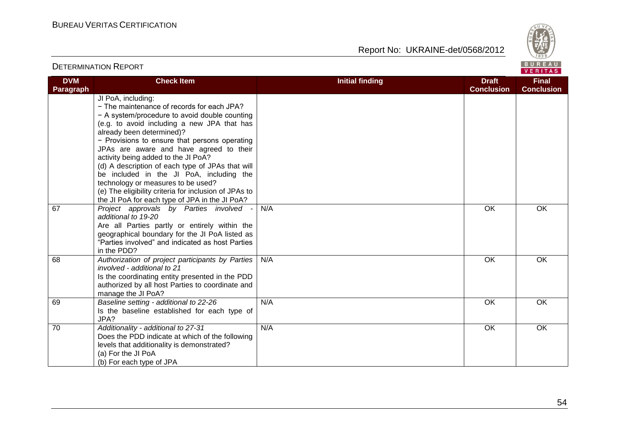Report No: UKRAINE-det/0568/2012



#### VERITAS **DVM Check Item Initial finding Draft Final Conclusion Paragraph Conclusion** JI PoA, including: − The maintenance of records for each JPA? − A system/procedure to avoid double counting (e.g. to avoid including a new JPA that has already been determined)? − Provisions to ensure that persons operating JPAs are aware and have agreed to their activity being added to the JI PoA? (d) A description of each type of JPAs that will be included in the JI PoA, including the technology or measures to be used? (e) The eligibility criteria for inclusion of JPAs to the JI PoA for each type of JPA in the JI PoA? 67 *Project approvals by Parties involved -* N/A OK OK *additional to 19-20*  Are all Parties partly or entirely within the geographical boundary for the JI PoA listed as "Parties involved" and indicated as host Parties in the PDD? 68 *Authorization of project participants by Parties*  N/A OK OK *involved - additional to 21*  Is the coordinating entity presented in the PDD authorized by all host Parties to coordinate and manage the JI PoA? 69 *Baseline setting - additional to 22-26*  N/A OK OK Is the baseline established for each type of JPA? 70 *Additionality - additional to 27-31*  N/A OK OKDoes the PDD indicate at which of the following levels that additionality is demonstrated? (a) For the JI PoA (b) For each type of JPA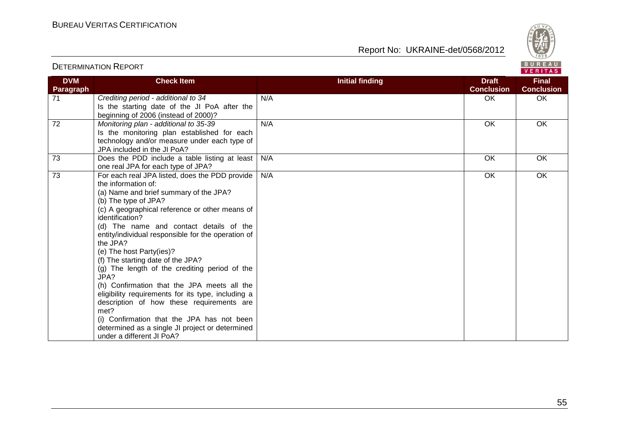



#### VERITAS **DVM Check Item Initial finding Draft Final Conclusion Conclusion Paragraph** 71 *Crediting period - additional to 34*  N/A OK OK Is the starting date of the JI PoA after the beginning of 2006 (instead of 2000)? 72 *Monitoring plan - additional to 35-39*  N/A OK OK Is the monitoring plan established for each technology and/or measure under each type of JPA included in the JI PoA? 73 Does the PDD include a table listing at least N/A N/A OK OK one real JPA for each type of JPA? 73 For each real JPA listed, does the PDD provide N/A OK OKthe information of: (a) Name and brief summary of the JPA? (b) The type of JPA? (c) A geographical reference or other means of identification? (d) The name and contact details of the entity/individual responsible for the operation of the JPA? (e) The host Party(ies)? (f) The starting date of the JPA?  $(q)$  The length of the crediting period of the JPA? (h) Confirmation that the JPA meets all the eligibility requirements for its type, including a description of how these requirements are met? (i) Confirmation that the JPA has not been determined as a single JI project or determined under a different JI PoA?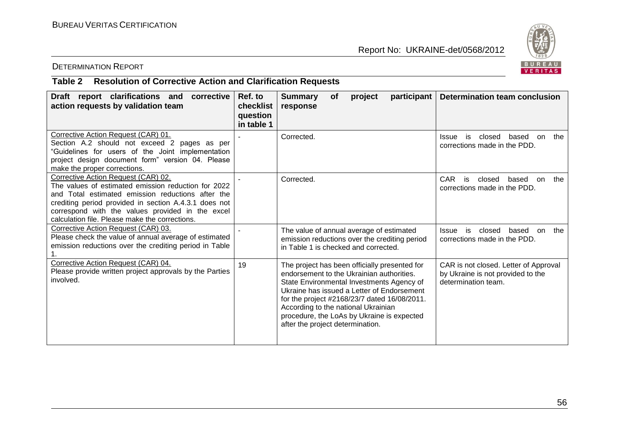

# DETERMINATION REPORT

# **Table 2 Resolution of Corrective Action and Clarification Requests**

| Draft report clarifications and<br>corrective<br>action requests by validation team                                                                                                                                                                                                                            | Ref. to<br>checklist<br>question<br>in table 1 | <b>Summary</b><br>participant<br>project<br><b>of</b><br>response                                                                                                                                                                                                                                                                                              | <b>Determination team conclusion</b>                                                              |
|----------------------------------------------------------------------------------------------------------------------------------------------------------------------------------------------------------------------------------------------------------------------------------------------------------------|------------------------------------------------|----------------------------------------------------------------------------------------------------------------------------------------------------------------------------------------------------------------------------------------------------------------------------------------------------------------------------------------------------------------|---------------------------------------------------------------------------------------------------|
| Corrective Action Request (CAR) 01.<br>Section A.2 should not exceed 2 pages as per<br>"Guidelines for users of the Joint implementation<br>project design document form" version 04. Please<br>make the proper corrections.                                                                                   |                                                | Corrected.                                                                                                                                                                                                                                                                                                                                                     | closed<br>based<br>the<br>Issue<br>is.<br>on<br>corrections made in the PDD.                      |
| Corrective Action Request (CAR) 02.<br>The values of estimated emission reduction for 2022<br>and Total estimated emission reductions after the<br>crediting period provided in section A.4.3.1 does not<br>correspond with the values provided in the excel<br>calculation file. Please make the corrections. |                                                | Corrected.                                                                                                                                                                                                                                                                                                                                                     | <b>CAR</b><br>based<br>the<br>is<br>closed<br>on.<br>corrections made in the PDD.                 |
| Corrective Action Request (CAR) 03.<br>Please check the value of annual average of estimated<br>emission reductions over the crediting period in Table                                                                                                                                                         |                                                | The value of annual average of estimated<br>emission reductions over the crediting period<br>in Table 1 is checked and corrected.                                                                                                                                                                                                                              | closed<br>the<br>is<br>based<br><b>Issue</b><br>on<br>corrections made in the PDD.                |
| Corrective Action Request (CAR) 04.<br>Please provide written project approvals by the Parties<br>involved.                                                                                                                                                                                                    | 19                                             | The project has been officially presented for<br>endorsement to the Ukrainian authorities.<br>State Environmental Investments Agency of<br>Ukraine has issued a Letter of Endorsement<br>for the project #2168/23/7 dated 16/08/2011.<br>According to the national Ukrainian<br>procedure, the LoAs by Ukraine is expected<br>after the project determination. | CAR is not closed. Letter of Approval<br>by Ukraine is not provided to the<br>determination team. |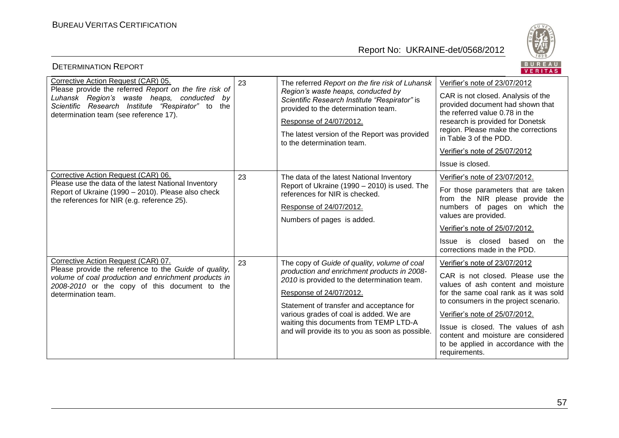

| <b>DETERMINATION REPORT</b>                                                                                                                                                                                                                   |    |                                                                                                                                                                                                                                                                                                                                                            | BUREAU<br>VERITAS                                                                                                                                                                                                                                                                                                                                                  |
|-----------------------------------------------------------------------------------------------------------------------------------------------------------------------------------------------------------------------------------------------|----|------------------------------------------------------------------------------------------------------------------------------------------------------------------------------------------------------------------------------------------------------------------------------------------------------------------------------------------------------------|--------------------------------------------------------------------------------------------------------------------------------------------------------------------------------------------------------------------------------------------------------------------------------------------------------------------------------------------------------------------|
| Corrective Action Request (CAR) 05.<br>Please provide the referred Report on the fire risk of<br>Luhansk Region's waste heaps, conducted by<br>Scientific Research Institute "Respirator" to<br>the<br>determination team (see reference 17). | 23 | The referred Report on the fire risk of Luhansk<br>Region's waste heaps, conducted by<br>Scientific Research Institute "Respirator" is<br>provided to the determination team.<br>Response of 24/07/2012.<br>The latest version of the Report was provided<br>to the determination team.                                                                    | Verifier's note of 23/07/2012<br>CAR is not closed. Analysis of the<br>provided document had shown that<br>the referred value 0.78 in the<br>research is provided for Donetsk<br>region. Please make the corrections<br>in Table 3 of the PDD.<br>Verifier's note of 25/07/2012<br>Issue is closed.                                                                |
| Corrective Action Request (CAR) 06.<br>Please use the data of the latest National Inventory<br>Report of Ukraine (1990 - 2010). Please also check<br>the references for NIR (e.g. reference 25).                                              | 23 | The data of the latest National Inventory<br>Report of Ukraine (1990 - 2010) is used. The<br>references for NIR is checked.<br>Response of 24/07/2012.<br>Numbers of pages is added.                                                                                                                                                                       | Verifier's note of 23/07/2012.<br>For those parameters that are taken<br>from the NIR please provide the<br>numbers of pages on which the<br>values are provided.<br>Verifier's note of 25/07/2012.<br>Issue is closed based<br>on<br>the<br>corrections made in the PDD.                                                                                          |
| Corrective Action Request (CAR) 07.<br>Please provide the reference to the Guide of quality,<br>volume of coal production and enrichment products in<br>2008-2010 or the copy of this document to the<br>determination team.                  | 23 | The copy of Guide of quality, volume of coal<br>production and enrichment products in 2008-<br>2010 is provided to the determination team.<br>Response of 24/07/2012.<br>Statement of transfer and acceptance for<br>various grades of coal is added. We are<br>waiting this documents from TEMP LTD-A<br>and will provide its to you as soon as possible. | Verifier's note of 23/07/2012<br>CAR is not closed. Please use the<br>values of ash content and moisture<br>for the same coal rank as it was sold<br>to consumers in the project scenario.<br>Verifier's note of 25/07/2012.<br>Issue is closed. The values of ash<br>content and moisture are considered<br>to be applied in accordance with the<br>requirements. |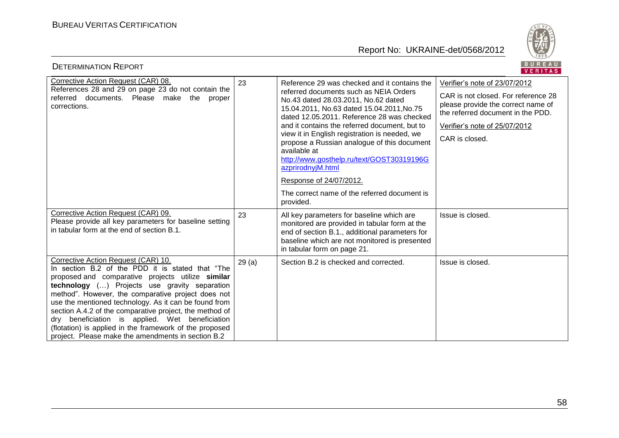

| <b>DETERMINATION REPORT</b>                                                                                                                                                                                                                                                                                                                                                                                                                                                                                                                 |       |                                                                                                                                                                                                                                                                                                                                                                                                                                                                                                                                                     | BUREAU<br>VERITAS                                                                                                                                                                                  |
|---------------------------------------------------------------------------------------------------------------------------------------------------------------------------------------------------------------------------------------------------------------------------------------------------------------------------------------------------------------------------------------------------------------------------------------------------------------------------------------------------------------------------------------------|-------|-----------------------------------------------------------------------------------------------------------------------------------------------------------------------------------------------------------------------------------------------------------------------------------------------------------------------------------------------------------------------------------------------------------------------------------------------------------------------------------------------------------------------------------------------------|----------------------------------------------------------------------------------------------------------------------------------------------------------------------------------------------------|
| Corrective Action Request (CAR) 08.<br>References 28 and 29 on page 23 do not contain the<br>referred documents. Please make the<br>proper<br>corrections.                                                                                                                                                                                                                                                                                                                                                                                  | 23    | Reference 29 was checked and it contains the<br>referred documents such as NEIA Orders<br>No.43 dated 28.03.2011, No.62 dated<br>15.04.2011, No.63 dated 15.04.2011, No.75<br>dated 12.05.2011. Reference 28 was checked<br>and it contains the referred document, but to<br>view it in English registration is needed, we<br>propose a Russian analogue of this document<br>available at<br>http://www.gosthelp.ru/text/GOST30319196G<br>azprirodnyjM.html<br>Response of 24/07/2012.<br>The correct name of the referred document is<br>provided. | Verifier's note of 23/07/2012<br>CAR is not closed. For reference 28<br>please provide the correct name of<br>the referred document in the PDD.<br>Verifier's note of 25/07/2012<br>CAR is closed. |
| Corrective Action Request (CAR) 09.<br>Please provide all key parameters for baseline setting<br>in tabular form at the end of section B.1.                                                                                                                                                                                                                                                                                                                                                                                                 | 23    | All key parameters for baseline which are<br>monitored are provided in tabular form at the<br>end of section B.1., additional parameters for<br>baseline which are not monitored is presented<br>in tabular form on page 21.                                                                                                                                                                                                                                                                                                                        | Issue is closed.                                                                                                                                                                                   |
| Corrective Action Request (CAR) 10.<br>In section B.2 of the PDD it is stated that "The<br>proposed and comparative projects utilize similar<br>technology () Projects use gravity separation<br>method". However, the comparative project does not<br>use the mentioned technology. As it can be found from<br>section A.4.2 of the comparative project, the method of<br>dry beneficiation is applied. Wet beneficiation<br>(flotation) is applied in the framework of the proposed<br>project. Please make the amendments in section B.2 | 29(a) | Section B.2 is checked and corrected.                                                                                                                                                                                                                                                                                                                                                                                                                                                                                                               | Issue is closed.                                                                                                                                                                                   |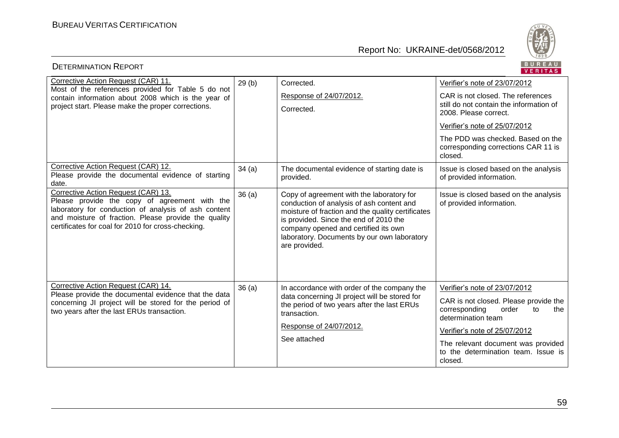

| <b>DETERMINATION REPORT</b>                                                                                                                                                                                                                                |       |                                                                                                                                                                                                                                                                                               | BUREAU<br>VERITAS                                                                                  |
|------------------------------------------------------------------------------------------------------------------------------------------------------------------------------------------------------------------------------------------------------------|-------|-----------------------------------------------------------------------------------------------------------------------------------------------------------------------------------------------------------------------------------------------------------------------------------------------|----------------------------------------------------------------------------------------------------|
| Corrective Action Request (CAR) 11.                                                                                                                                                                                                                        | 29(b) | Corrected.                                                                                                                                                                                                                                                                                    | Verifier's note of 23/07/2012                                                                      |
| Most of the references provided for Table 5 do not<br>contain information about 2008 which is the year of                                                                                                                                                  |       | Response of 24/07/2012.                                                                                                                                                                                                                                                                       | CAR is not closed. The references                                                                  |
| project start. Please make the proper corrections.                                                                                                                                                                                                         |       | Corrected.                                                                                                                                                                                                                                                                                    | still do not contain the information of<br>2008. Please correct.                                   |
|                                                                                                                                                                                                                                                            |       |                                                                                                                                                                                                                                                                                               | Verifier's note of 25/07/2012                                                                      |
|                                                                                                                                                                                                                                                            |       |                                                                                                                                                                                                                                                                                               | The PDD was checked. Based on the<br>corresponding corrections CAR 11 is<br>closed.                |
| Corrective Action Request (CAR) 12.<br>Please provide the documental evidence of starting<br>date.                                                                                                                                                         | 34(a) | The documental evidence of starting date is<br>provided.                                                                                                                                                                                                                                      | Issue is closed based on the analysis<br>of provided information.                                  |
| Corrective Action Request (CAR) 13.<br>Please provide the copy of agreement with the<br>laboratory for conduction of analysis of ash content<br>and moisture of fraction. Please provide the quality<br>certificates for coal for 2010 for cross-checking. | 36(a) | Copy of agreement with the laboratory for<br>conduction of analysis of ash content and<br>moisture of fraction and the quality certificates<br>is provided. Since the end of 2010 the<br>company opened and certified its own<br>laboratory. Documents by our own laboratory<br>are provided. | Issue is closed based on the analysis<br>of provided information.                                  |
| Corrective Action Request (CAR) 14.                                                                                                                                                                                                                        | 36(a) | In accordance with order of the company the                                                                                                                                                                                                                                                   | Verifier's note of 23/07/2012                                                                      |
| Please provide the documental evidence that the data<br>concerning JI project will be stored for the period of<br>two years after the last ERUs transaction.                                                                                               |       | data concerning JI project will be stored for<br>the period of two years after the last ERUs<br>transaction.                                                                                                                                                                                  | CAR is not closed. Please provide the<br>corresponding<br>order<br>to<br>the<br>determination team |
|                                                                                                                                                                                                                                                            |       | Response of 24/07/2012.                                                                                                                                                                                                                                                                       | Verifier's note of 25/07/2012                                                                      |
|                                                                                                                                                                                                                                                            |       | See attached                                                                                                                                                                                                                                                                                  | The relevant document was provided<br>to the determination team. Issue is<br>closed.               |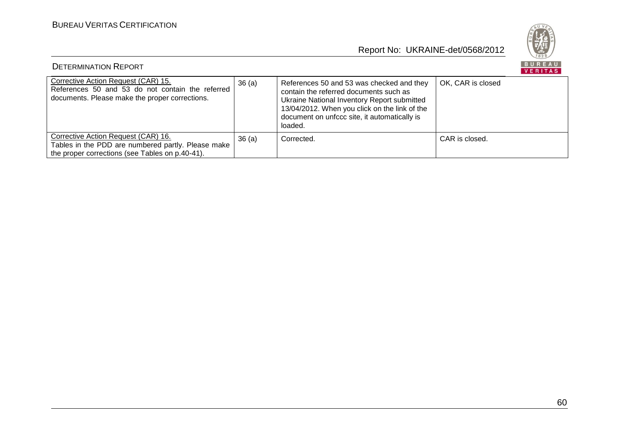

| <b>DETERMINATION REPORT</b>                                                                                                                  |       |                                                                                                                                                                                                                                                |                   |  |
|----------------------------------------------------------------------------------------------------------------------------------------------|-------|------------------------------------------------------------------------------------------------------------------------------------------------------------------------------------------------------------------------------------------------|-------------------|--|
| Corrective Action Request (CAR) 15.<br>References 50 and 53 do not contain the referred<br>documents. Please make the proper corrections.    | 36(a) | References 50 and 53 was checked and they<br>contain the referred documents such as<br>Ukraine National Inventory Report submitted<br>13/04/2012. When you click on the link of the<br>document on unfccc site, it automatically is<br>loaded. | OK, CAR is closed |  |
| Corrective Action Request (CAR) 16.<br>Tables in the PDD are numbered partly. Please make<br>the proper corrections (see Tables on p.40-41). | 36(a) | Corrected.                                                                                                                                                                                                                                     | CAR is closed.    |  |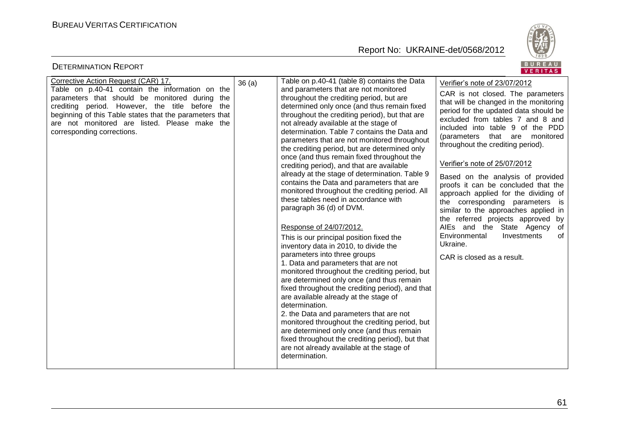

| <b>DETERMINATION REPORT</b>                                                                                                                                                                                                                                                                          |       |                                                                                                                                                                                                                                                                                                                                                                                                                                                                                                                | BUREAU<br>VERITAS                                                                                                                                                                                                                                                                                                                                                                    |
|------------------------------------------------------------------------------------------------------------------------------------------------------------------------------------------------------------------------------------------------------------------------------------------------------|-------|----------------------------------------------------------------------------------------------------------------------------------------------------------------------------------------------------------------------------------------------------------------------------------------------------------------------------------------------------------------------------------------------------------------------------------------------------------------------------------------------------------------|--------------------------------------------------------------------------------------------------------------------------------------------------------------------------------------------------------------------------------------------------------------------------------------------------------------------------------------------------------------------------------------|
| Corrective Action Request (CAR) 17.                                                                                                                                                                                                                                                                  | 36(a) | Table on p.40-41 (table 8) contains the Data                                                                                                                                                                                                                                                                                                                                                                                                                                                                   | Verifier's note of 23/07/2012                                                                                                                                                                                                                                                                                                                                                        |
| Table on p.40-41 contain the information on the<br>parameters that should be monitored during<br>the<br>crediting period. However, the title before<br>the<br>beginning of this Table states that the parameters that<br>are not monitored are listed. Please make the<br>corresponding corrections. |       | and parameters that are not monitored<br>throughout the crediting period, but are<br>determined only once (and thus remain fixed<br>throughout the crediting period), but that are<br>not already available at the stage of<br>determination. Table 7 contains the Data and<br>parameters that are not monitored throughout<br>the crediting period, but are determined only                                                                                                                                   | CAR is not closed. The parameters<br>that will be changed in the monitoring<br>period for the updated data should be<br>excluded from tables 7 and 8 and<br>included into table 9 of the PDD<br>(parameters that are monitored<br>throughout the crediting period).                                                                                                                  |
|                                                                                                                                                                                                                                                                                                      |       | once (and thus remain fixed throughout the<br>crediting period), and that are available<br>already at the stage of determination. Table 9<br>contains the Data and parameters that are<br>monitored throughout the crediting period. All<br>these tables need in accordance with<br>paragraph 36 (d) of DVM.<br>Response of 24/07/2012.<br>This is our principal position fixed the<br>inventory data in 2010, to divide the<br>parameters into three groups                                                   | Verifier's note of 25/07/2012<br>Based on the analysis of provided<br>proofs it can be concluded that the<br>approach applied for the dividing of<br>the corresponding parameters is<br>similar to the approaches applied in<br>the referred projects approved by<br>AIEs and the State Agency<br>of<br>Environmental<br>Investments<br>of<br>Ukraine.<br>CAR is closed as a result. |
|                                                                                                                                                                                                                                                                                                      |       | 1. Data and parameters that are not<br>monitored throughout the crediting period, but<br>are determined only once (and thus remain<br>fixed throughout the crediting period), and that<br>are available already at the stage of<br>determination.<br>2. the Data and parameters that are not<br>monitored throughout the crediting period, but<br>are determined only once (and thus remain<br>fixed throughout the crediting period), but that<br>are not already available at the stage of<br>determination. |                                                                                                                                                                                                                                                                                                                                                                                      |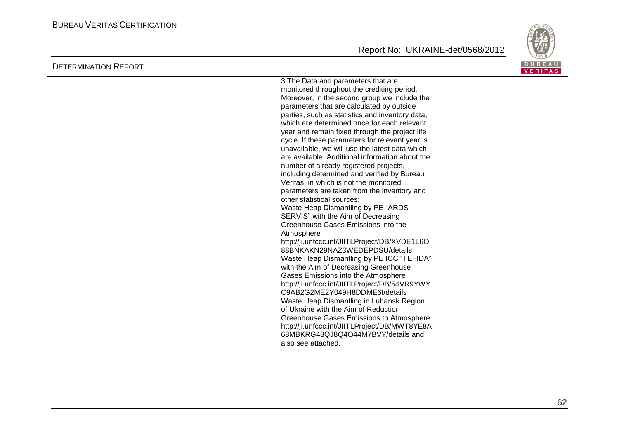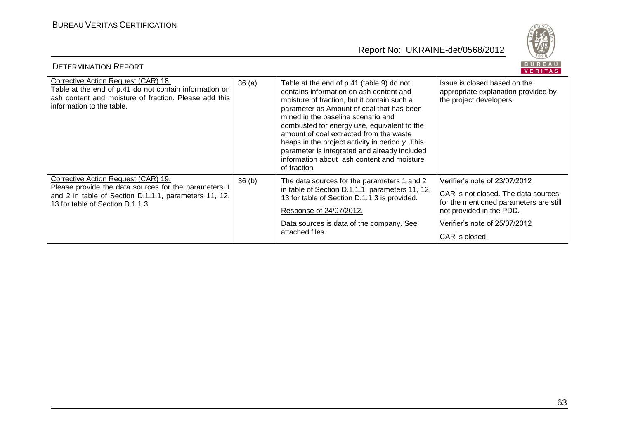

| BUREAU<br><b>DETERMINATION REPORT</b><br><b>VERITAS</b>                                                                                                                                 |       |                                                                                                                                                                                                                                                                                                                                                                                                                                                                                  |                                                                                                                                                                                               |  |
|-----------------------------------------------------------------------------------------------------------------------------------------------------------------------------------------|-------|----------------------------------------------------------------------------------------------------------------------------------------------------------------------------------------------------------------------------------------------------------------------------------------------------------------------------------------------------------------------------------------------------------------------------------------------------------------------------------|-----------------------------------------------------------------------------------------------------------------------------------------------------------------------------------------------|--|
| Corrective Action Request (CAR) 18.<br>Table at the end of p.41 do not contain information on<br>ash content and moisture of fraction. Please add this<br>information to the table.     | 36(a) | Table at the end of p.41 (table 9) do not<br>contains information on ash content and<br>moisture of fraction, but it contain such a<br>parameter as Amount of coal that has been<br>mined in the baseline scenario and<br>combusted for energy use, equivalent to the<br>amount of coal extracted from the waste<br>heaps in the project activity in period y. This<br>parameter is integrated and already included<br>information about ash content and moisture<br>of fraction | Issue is closed based on the<br>appropriate explanation provided by<br>the project developers.                                                                                                |  |
| Corrective Action Request (CAR) 19.<br>Please provide the data sources for the parameters 1<br>and 2 in table of Section D.1.1.1, parameters 11, 12,<br>13 for table of Section D.1.1.3 | 36(b) | The data sources for the parameters 1 and 2<br>in table of Section D.1.1.1, parameters 11, 12,<br>13 for table of Section D.1.1.3 is provided.<br>Response of 24/07/2012.<br>Data sources is data of the company. See<br>attached files.                                                                                                                                                                                                                                         | Verifier's note of 23/07/2012<br>CAR is not closed. The data sources<br>for the mentioned parameters are still<br>not provided in the PDD.<br>Verifier's note of 25/07/2012<br>CAR is closed. |  |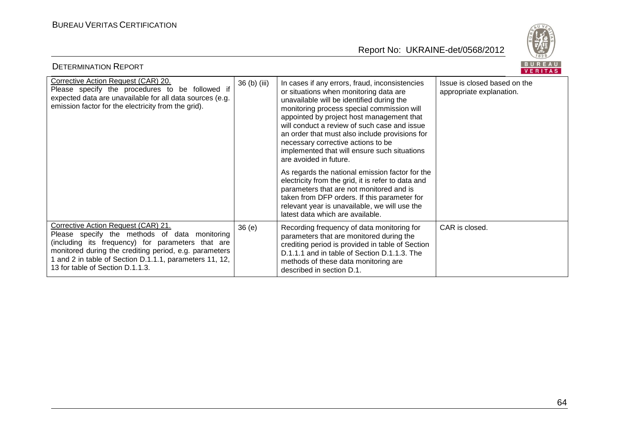

| BUREAU<br><b>DETERMINATION REPORT</b><br>VERITAS                                                                                                                                                                                                                                                   |              |                                                                                                                                                                                                                                                                                                                                                                                                                                                                                                                                                                                                                                                                                                                                              |                                                          |  |
|----------------------------------------------------------------------------------------------------------------------------------------------------------------------------------------------------------------------------------------------------------------------------------------------------|--------------|----------------------------------------------------------------------------------------------------------------------------------------------------------------------------------------------------------------------------------------------------------------------------------------------------------------------------------------------------------------------------------------------------------------------------------------------------------------------------------------------------------------------------------------------------------------------------------------------------------------------------------------------------------------------------------------------------------------------------------------------|----------------------------------------------------------|--|
| Corrective Action Request (CAR) 20.<br>Please specify the procedures to be followed if<br>expected data are unavailable for all data sources (e.g.<br>emission factor for the electricity from the grid).                                                                                          | 36 (b) (iii) | In cases if any errors, fraud, inconsistencies<br>or situations when monitoring data are<br>unavailable will be identified during the<br>monitoring process special commission will<br>appointed by project host management that<br>will conduct a review of such case and issue<br>an order that must also include provisions for<br>necessary corrective actions to be<br>implemented that will ensure such situations<br>are avoided in future.<br>As regards the national emission factor for the<br>electricity from the grid, it is refer to data and<br>parameters that are not monitored and is<br>taken from DFP orders. If this parameter for<br>relevant year is unavailable, we will use the<br>latest data which are available. | Issue is closed based on the<br>appropriate explanation. |  |
| Corrective Action Request (CAR) 21.<br>Please specify the methods of data monitoring<br>(including its frequency) for parameters that are<br>monitored during the crediting period, e.g. parameters<br>1 and 2 in table of Section D.1.1.1, parameters 11, 12,<br>13 for table of Section D.1.1.3. | 36(e)        | Recording frequency of data monitoring for<br>parameters that are monitored during the<br>crediting period is provided in table of Section<br>D.1.1.1 and in table of Section D.1.1.3. The<br>methods of these data monitoring are<br>described in section D.1.                                                                                                                                                                                                                                                                                                                                                                                                                                                                              | CAR is closed.                                           |  |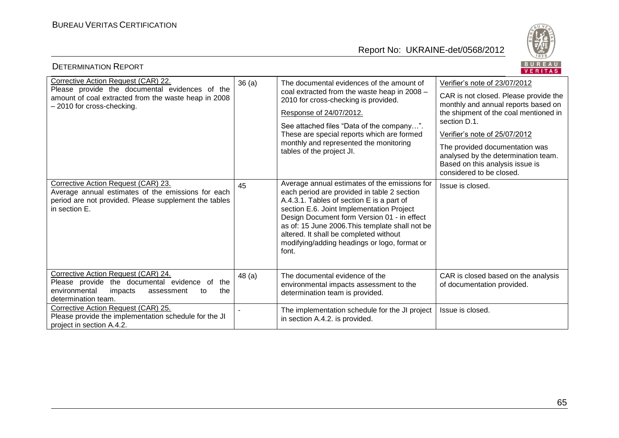

| BUREAU<br><b>DETERMINATION REPORT</b><br>VERITAS                                                                                                                            |                          |                                                                                                                                                                                                                                                                                                                                                                                             |                                                                                                                                                                                                                                                                                                                                                 |  |
|-----------------------------------------------------------------------------------------------------------------------------------------------------------------------------|--------------------------|---------------------------------------------------------------------------------------------------------------------------------------------------------------------------------------------------------------------------------------------------------------------------------------------------------------------------------------------------------------------------------------------|-------------------------------------------------------------------------------------------------------------------------------------------------------------------------------------------------------------------------------------------------------------------------------------------------------------------------------------------------|--|
| Corrective Action Request (CAR) 22.<br>Please provide the documental evidences of the<br>amount of coal extracted from the waste heap in 2008<br>- 2010 for cross-checking. | 36(a)                    | The documental evidences of the amount of<br>coal extracted from the waste heap in 2008 -<br>2010 for cross-checking is provided.<br>Response of 24/07/2012.<br>See attached files "Data of the company".<br>These are special reports which are formed<br>monthly and represented the monitoring<br>tables of the project JI.                                                              | Verifier's note of 23/07/2012<br>CAR is not closed. Please provide the<br>monthly and annual reports based on<br>the shipment of the coal mentioned in<br>section D.1.<br>Verifier's note of 25/07/2012<br>The provided documentation was<br>analysed by the determination team.<br>Based on this analysis issue is<br>considered to be closed. |  |
| Corrective Action Request (CAR) 23.<br>Average annual estimates of the emissions for each<br>period are not provided. Please supplement the tables<br>in section E.         | 45                       | Average annual estimates of the emissions for<br>each period are provided in table 2 section<br>A.4.3.1. Tables of section E is a part of<br>section E.6. Joint Implementation Project<br>Design Document form Version 01 - in effect<br>as of: 15 June 2006. This template shall not be<br>altered. It shall be completed without<br>modifying/adding headings or logo, format or<br>font. | Issue is closed.                                                                                                                                                                                                                                                                                                                                |  |
| Corrective Action Request (CAR) 24.<br>Please provide the documental evidence of<br>the<br>environmental<br>the<br>impacts<br>assessment<br>to<br>determination team.       | 48 (a)                   | The documental evidence of the<br>environmental impacts assessment to the<br>determination team is provided.                                                                                                                                                                                                                                                                                | CAR is closed based on the analysis<br>of documentation provided.                                                                                                                                                                                                                                                                               |  |
| Corrective Action Request (CAR) 25.<br>Please provide the implementation schedule for the JI<br>project in section A.4.2.                                                   | $\overline{\phantom{a}}$ | The implementation schedule for the JI project<br>in section A.4.2. is provided.                                                                                                                                                                                                                                                                                                            | Issue is closed.                                                                                                                                                                                                                                                                                                                                |  |